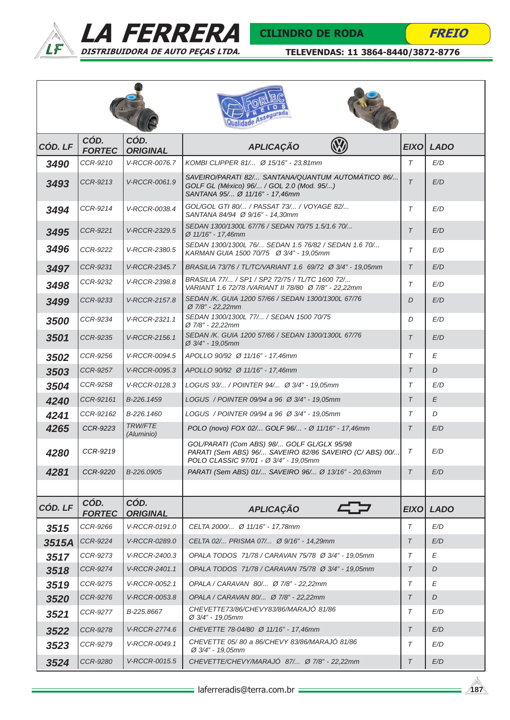



|         |                       |                              | dade Assegurad.                                                                                                                                |             |                  |
|---------|-----------------------|------------------------------|------------------------------------------------------------------------------------------------------------------------------------------------|-------------|------------------|
| CÓD. LF | CÓD.<br><b>FORTEC</b> | CÓD.<br><b>ORIGINAL</b>      | <b>APLICAÇÃO</b>                                                                                                                               |             | <b>EIXO LADO</b> |
| 3490    | CCR-9210              | V-RCCR-0076.7                | KOMBI CLIPPER 81/ Ø 15/16" - 23.81mm                                                                                                           | $\tau$      | E/D              |
| 3493    | CCR-9213              | V-RCCR-0061.9                | SAVEIRO/PARATI 82/ SANTANA/QUANTUM AUTOMÁTICO 86/<br>GOLF GL (México) 96/ / GOL 2.0 (Mod. 95/)<br>SANTANA 95/ Ø 11/16" - 17,46mm               | $\tau$      | E/D              |
| 3494    | CCR-9214              | V-RCCR-0038.4                | GOL/GOL GTI 80/ / PASSAT 73/ / VOYAGE 82/<br>SANTANA 84/94 Ø 9/16" - 14,30mm                                                                   | $\tau$      | E/D              |
| 3495    | CCR-9221              | V-RCCR-2329.5                | SEDAN 1300/1300L 67/76 / SEDAN 70/75 1.5/1.6 70/<br>Ø 11/16" - 17,46mm                                                                         | $\tau$      | E/D              |
| 3496    | CCR-9222              | V-RCCR-2380.5                | SEDAN 1300/1300L 76/ SEDAN 1.5 76/82 / SEDAN 1.6 70/<br>KARMAN GUIA 1500 70/75 Ø 3/4" - 19,05mm                                                | T           | E/D              |
| 3497    | CCR-9231              | V-RCCR-2345.7                | BRASILIA 73/76 / TL/TC/VARIANT 1.6 69/72 Ø 3/4" - 19,05mm                                                                                      | $\tau$      | E/D              |
| 3498    | CCR-9232              | V-RCCR-2398.8                | BRASILIA 77/ / SP1 / SP2 72/75 / TL/TC 1600 72/<br>VARIANT 1.6 72/78 / VARIANT II 78/80 Ø 7/8" - 22,22mm                                       | $\tau$      | E/D              |
| 3499    | CCR-9233              | V-RCCR-2157.8                | SEDAN /K. GUIA 1200 57/66 / SEDAN 1300/1300L 67/76<br>Ø 7/8" - 22,22mm                                                                         | D           | E/D              |
| 3500    | CCR-9234              | V-RCCR-2321.1                | SEDAN 1300/1300L 77/ / SEDAN 1500 70/75<br>Ø 7/8" - 22,22mm                                                                                    | D           | E/D              |
| 3501    | CCR-9235              | V-RCCR-2156.1                | SEDAN /K. GUIA 1200 57/66 / SEDAN 1300/1300L 67/76<br>Ø 3/4" - 19,05mm                                                                         | $\tau$      | E/D              |
| 3502    | CCR-9256              | V-RCCR-0094.5                | APOLLO 90/92 Ø 11/16" - 17,46mm                                                                                                                |             | Е                |
| 3503    | <b>CCR-9257</b>       | V-RCCR-0095.3                | APOLLO 90/92 Ø 11/16" - 17,46mm                                                                                                                |             | D                |
| 3504    | CCR-9258              | V-RCCR-0128.3                | LOGUS 93/ / POINTER 94/ Ø 3/4" - 19.05mm                                                                                                       |             | E/D              |
| 4240    | CCR-92161             | B-226.1459                   | LOGUS / POINTER 09/94 a 96 Ø 3/4" - 19.05mm                                                                                                    |             | E                |
| 4241    | CCR-92162             | B-226,1460                   | LOGUS / POINTER 09/94 a 96 Ø 3/4" - 19.05mm                                                                                                    | $\tau$      | D                |
| 4265    | CCR-9223              | <b>TRW/FTE</b><br>(Aluminio) | POLO (novo) FOX 02/ GOLF 96/ - Ø 11/16" - 17,46mm                                                                                              | $\tau$      | E/D              |
| 4280    | CCR-9219              |                              | GOL/PARATI (Com ABS) 98/ GOLF GL/GLX 95/98<br>PARATI (Sem ABS) 96/ SAVEIRO 82/86 SAVEIRO (C/ ABS) 00/<br>POLO CLASSIC 97/01 - Ø 3/4" - 19,05mm | T           | E/D              |
| 4281    | CCR-9220              | B-226.0905                   | PARATI (Sem ABS) 01/ SAVEIRO 96/ Ø 13/16" - 20,63mm                                                                                            | $\tau$      | E/D              |
|         |                       |                              |                                                                                                                                                |             |                  |
| CÓD. LF | CÓD.<br><b>FORTEC</b> | CÓD.<br><b>ORIGINAL</b>      | <b>APLICAÇÃO</b>                                                                                                                               | <b>EIXO</b> | <b>LADO</b>      |
| 3515    | CCR-9266              | V-RCCR-0191.0                | CELTA 2000/ Ø 11/16" - 17,78mm                                                                                                                 | $\tau$      | E/D              |
| 3515A   | CCR-9224              | V-RCCR-0289.0                | CELTA 02/ PRISMA 07/ Ø 9/16" - 14,29mm                                                                                                         | T           | E/D              |
| 3517    | CCR-9273              | V-RCCR-2400.3                | OPALA TODOS 71/78 / CARAVAN 75/78 Ø 3/4" - 19,05mm                                                                                             | $\tau$      | E                |
| 3518    | CCR-9274              | V-RCCR-2401.1                | OPALA TODOS 71/78 / CARAVAN 75/78 Ø 3/4" - 19,05mm                                                                                             | $\tau$      | D                |
| 3519    | CCR-9275              | V-RCCR-0052.1                | OPALA / CARAVAN 80/ Ø 7/8" - 22,22mm                                                                                                           | $\tau$      | E                |
| 3520    | CCR-9276              | V-RCCR-0053.8                | OPALA / CARAVAN 80/ Ø 7/8" - 22,22mm                                                                                                           | T           | D                |
| 3521    | CCR-9277              | B-225.8667                   | CHEVETTE73/86/CHEVY83/86/MARAJÓ 81/86<br>Ø 3/4" - 19,05mm                                                                                      | $\tau$      | E/D              |
| 3522    | CCR-9278              | V-RCCR-2774.6                | CHEVETTE 78-04/80 Ø 11/16" - 17,46mm                                                                                                           | $\tau$      | E/D              |
| 3523    | CCR-9279              | V-RCCR-0049.1                | CHEVETTE 05/80 a 86/CHEVY 83/86/MARAJO 81/86<br>$\varnothing$ 3/4" - 19,05mm                                                                   | $\tau$      | E/D              |
| 3524    | CCR-9280              | V-RCCR-0015.5                | CHEVETTE/CHEVY/MARAJO 87/ Ø 7/8" - 22,22mm                                                                                                     | T           | E/D              |

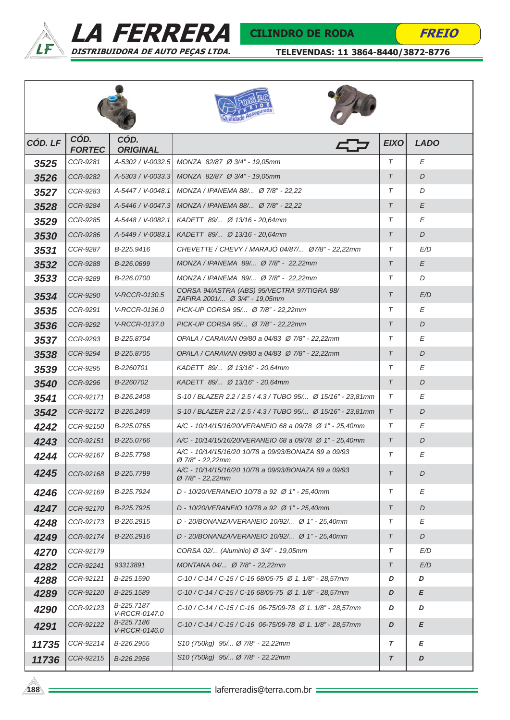



### CILINDRO DE RODA

**FREIO** 

| CÓD. LF | CÓD.<br><b>FORTEC</b> | CÓD.<br><b>ORIGINAL</b>     |                                                                                      | <b>EIXO</b> | <b>LADO</b> |
|---------|-----------------------|-----------------------------|--------------------------------------------------------------------------------------|-------------|-------------|
| 3525    | CCR-9281              | A-5302 / V-0032.5           | MONZA 82/87 Ø 3/4" - 19,05mm                                                         | T           | Е           |
| 3526    | <b>CCR-9282</b>       |                             | A-5303 / V-0033.3 MONZA 82/87 Ø 3/4" - 19.05mm                                       | $\tau$      | D           |
| 3527    | CCR-9283              | A-5447 / V-0048.1           | MONZA / IPANEMA 88/ Ø 7/8" - 22.22                                                   | T           | D           |
| 3528    | CCR-9284              | A-5446 / V-0047.3           | MONZA / IPANEMA 88/ Ø 7/8" - 22,22                                                   | $\tau$      | E           |
| 3529    | CCR-9285              | A-5448 / V-0082.1           | KADETT 89/ Ø 13/16 - 20.64mm                                                         | T           | E           |
| 3530    | CCR-9286              | A-5449 / V-0083.1           | KADETT 89/ Ø 13/16 - 20.64mm                                                         | $\tau$      | D           |
| 3531    | CCR-9287              | B-225.9416                  | CHEVETTE / CHEVY / MARAJÓ 04/87/ Ø7/8" - 22,22mm                                     | T           | E/D         |
| 3532    | CCR-9288              | B-226.0699                  | MONZA / IPANEMA 89/ Ø 7/8" - 22,22mm                                                 | $\tau$      | E           |
| 3533    | CCR-9289              | B-226.0700                  | MONZA / IPANEMA 89/ Ø 7/8" - 22,22mm                                                 | T           | D           |
| 3534    | CCR-9290              | V-RCCR-0130.5               | CORSA 94/ASTRA (ABS) 95/VECTRA 97/TIGRA 98/<br>ZAFIRA 2001/ Ø 3/4" - 19,05mm         | $\tau$      | E/D         |
| 3535    | CCR-9291              | V-RCCR-0136.0               | PICK-UP CORSA 95/ Ø 7/8" - 22,22mm                                                   | T           | Ε           |
| 3536    | CCR-9292              | V-RCCR-0137.0               | PICK-UP CORSA 95/ Ø 7/8" - 22,22mm                                                   | $\tau$      | D           |
| 3537    | CCR-9293              | B-225.8704                  | OPALA / CARAVAN 09/80 a 04/83 Ø 7/8" - 22,22mm                                       | T           | Ε           |
| 3538    | CCR-9294              | B-225.8705                  | OPALA / CARAVAN 09/80 a 04/83 Ø 7/8" - 22,22mm                                       | $\tau$      | D           |
| 3539    | CCR-9295              | B-2260701                   | KADETT 89/ Ø 13/16" - 20.64mm                                                        | T           | Е           |
| 3540    | CCR-9296              | B-2260702                   | KADETT 89/ Ø 13/16" - 20.64mm                                                        | $\tau$      | D           |
| 3541    | CCR-92171             | B-226.2408                  | S-10 / BLAZER 2.2 / 2.5 / 4.3 / TUBO 95/ Ø 15/16" - 23,81mm                          | T           | Ε           |
| 3542    | CCR-92172             | B-226.2409                  | S-10 / BLAZER 2.2 / 2.5 / 4.3 / TUBO 95/ Ø 15/16" - 23,81mm                          |             | D           |
| 4242    | CCR-92150             | B-225.0765                  | A/C - 10/14/15/16/20/VERANEIO 68 a 09/78 Ø 1" - 25.40mm                              | T           | Ε           |
| 4243    | CCR-92151             | B-225.0766                  | A/C - 10/14/15/16/20/VERANEIO 68 a 09/78 Ø 1" - 25,40mm                              | $\tau$      | D           |
| 4244    | CCR-92167             | B-225.7798                  | A/C - 10/14/15/16/20 10/78 a 09/93/BONAZA 89 a 09/93<br>Ø 7/8" - 22,22mm             | Τ           | Е           |
| 4245    | CCR-92168             | B-225.7799                  | A/C - 10/14/15/16/20 10/78 a 09/93/BONAZA 89 a 09/93<br>$\varnothing$ 7/8" - 22,22mm | $\tau$      | D           |
| 4246    | CCR-92169             | B-225.7924                  | D - 10/20/VERANEIO 10/78 a 92 Ø 1" - 25,40mm                                         | T           | Е           |
| 4247    | CCR-92170             | B-225.7925                  | D - 10/20/VERANEIO 10/78 a 92 Ø 1" - 25,40mm                                         | $\tau$      | D           |
| 4248    | CCR-92173             | B-226.2915                  | D - 20/BONANZA/VERANEIO 10/92/ Ø 1" - 25,40mm                                        | Τ           | Е           |
| 4249    | CCR-92174             | B-226.2916                  | D - 20/BONANZA/VERANEIO 10/92/ Ø 1" - 25,40mm                                        | $\tau$      | D           |
| 4270    | CCR-92179             |                             | CORSA 02/ (Aluminio) Ø 3/4" - 19,05mm                                                | T           | E/D         |
| 4282    | CCR-92241             | 93313891                    | MONTANA 04/ Ø 7/8" - 22,22mm                                                         | $\tau$      | E/D         |
| 4288    | CCR-92121             | B-225.1590                  | C-10 / C-14 / C-15 / C-16 68/05-75 Ø 1. 1/8" - 28,57mm                               | D           | D           |
| 4289    | CCR-92120             | B-225.1589                  | C-10 / C-14 / C-15 / C-16 68/05-75 Ø 1. 1/8" - 28,57mm                               | D           | E           |
| 4290    | CCR-92123             | B-225.7187<br>V-RCCR-0147.0 | C-10 / C-14 / C-15 / C-16 06-75/09-78 Ø 1. 1/8" - 28,57mm                            | D           | D           |
| 4291    | CCR-92122             | B-225.7186<br>V-RCCR-0146.0 | C-10 / C-14 / C-15 / C-16 06-75/09-78 Ø 1. 1/8" - 28,57mm                            | D           | E           |
| 11735   | CCR-92214             | B-226.2955                  | S10 (750kg) 95/ Ø 7/8" - 22,22mm                                                     | T           | Е           |
| 11736   | CCR-92215             | B-226.2956                  | S10 (750kg) 95/ Ø 7/8" - 22,22mm                                                     | $\tau$      | D           |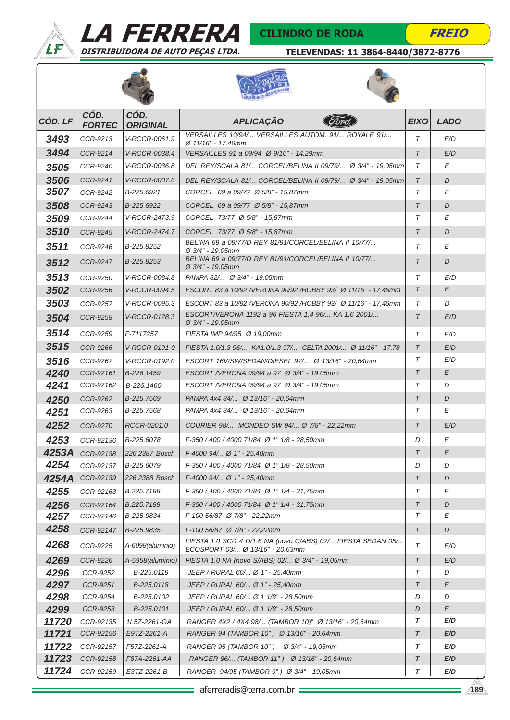



### CILINDRO DE RODA

**FREIO** 







| CÓD. LF        | CÓD.<br><b>FORTEC</b>  | CÓD.<br><b>ORIGINAL</b>     | <b>APLICAÇÃO</b>                                                                                  | <b>EIXO</b> | <b>LADO</b> |
|----------------|------------------------|-----------------------------|---------------------------------------------------------------------------------------------------|-------------|-------------|
| 3493           | CCR-9213               | V-RCCR-0061.9               | VERSAILLES 10/94/ VERSAILLES AUTOM. 91/ ROYALE 91/<br>Ø 11/16" - 17,46mm                          | $\tau$      | E/D         |
| 3494           | CCR-9214               | V-RCCR-0038.4               | VERSAILLES 91 a 09/94 Ø 9/16" - 14,29mm                                                           | $\tau$      | E/D         |
| 3505           | CCR-9240               | V-RCCR-0036.8               | DEL REY/SCALA 81/ CORCEL/BELINA II 09/79/ Ø 3/4" - 19.05mm                                        | $\tau$      | Ε           |
| 3506           | CCR-9241               | V-RCCR-0037.6               | DEL REY/SCALA 81/ CORCEL/BELINA II 09/79/ Ø 3/4" - 19,05mm                                        | $\tau$      | D           |
| 3507           | CCR-9242               | B-225.6921                  | CORCEL 69 a 09/77 Ø 5/8" - 15,87mm                                                                | $\tau$      | Е           |
| 3508           | CCR-9243               | B-225.6922                  | CORCEL 69 a 09/77 Ø 5/8" - 15,87mm                                                                | $\tau$      | D           |
| 3509           | CCR-9244               | V-RCCR-2473.9               | CORCEL 73/77 Ø 5/8" - 15,87mm                                                                     | $\tau$      | Е           |
| 3510           | CCR-9245               | V-RCCR-2474.7               | CORCEL 73/77 Ø 5/8" - 15,87mm                                                                     | $\tau$      | D           |
| 3511           | CCR-9246               | B-225.8252                  | BELINA 69 a 09/77/D REY 81/91/CORCEL/BELINA II 10/77/<br>Ø 3/4" - 19,05mm                         | $\tau$      | Е           |
| 3512           | CCR-9247               | B-225.8253                  | BELINA 69 a 09/77/D REY 81/91/CORCEL/BELINA II 10/77/<br>$\varnothing$ 3/4" - 19,05mm             | $\tau$      | D           |
| 3513           | CCR-9250               | V-RCCR-0084.8               | PAMPA 82/ Ø 3/4" - 19,05mm                                                                        | $\tau$      | E/D         |
| 3502           | CCR-9256               | V-RCCR-0094.5               | ESCORT 83 a 10/92 / VERONA 90/92 / HOBBY 93/ Ø 11/16" - 17,46mm                                   | $\tau$      | E           |
| 3503           | CCR-9257               | V-RCCR-0095.3               | ESCORT 83 a 10/92 / VERONA 90/92 / HOBBY 93/ Ø 11/16" - 17,46mm                                   | $\tau$      | D           |
| 3504           | CCR-9258               | V-RCCR-0128.3               | ESCORT/VERONA 1192 a 96 FIESTA 1.4 96/ KA 1.6 2001/<br>$\varnothing$ 3/4" - 19,05mm               | $\tau$      | E/D         |
| 3514           | CCR-9259               | F-7117257                   | FIESTA IMP 94/95 Ø 19,00mm                                                                        | $\tau$      | E/D         |
| 3515           | CCR-9266               | V-RCCR-0191-0               | FIESTA 1.0/1.3 96/ KA1.0/1.3 97/ CELTA 2001/ Ø 11/16" - 17.78                                     | $\tau$      | E/D         |
| 3516           | CCR-9267               | V-RCCR-0192.0               | ESCORT 16V/SW/SEDAN/DIESEL 97/ Ø 13/16" - 20.64mm                                                 | $\tau$      | E/D         |
| 4240           | CCR-92161              | B-226.1459                  | ESCORT /VERONA 09/94 a 97 Ø 3/4" - 19,05mm                                                        | $\tau$      | Е           |
| 4241           | CCR-92162              | B-226.1460                  | ESCORT /VERONA 09/94 a 97 Ø 3/4" - 19,05mm                                                        | T           | D           |
| 4250           | CCR-9262               | B-225.7569                  | PAMPA 4x4 84/ Ø 13/16" - 20,64mm                                                                  | $\tau$      | D           |
| 4251           | CCR-9263               | B-225.7568                  | PAMPA 4x4 84/ Ø 13/16" - 20.64mm                                                                  | $\tau$      | Ε           |
| 4252           | CCR-9270               | RCCR-0201.0                 | COURIER 98/ MONDEO SW 94/ Ø 7/8" - 22,22mm                                                        | $\tau$      | E/D         |
| 4253           | CCR-92136              | B-225.6078                  | F-350 / 400 / 4000 71/84 Ø 1" 1/8 - 28.50mm                                                       | D           | Ε           |
| 4253A          | CCR-92138              | 226.2387 Bosch              | $F-4000$ 94/ Ø 1" - 25,40mm                                                                       | $\tau$      | E           |
| 4254           | CCR-92137              | B-225.6079                  | F-350 / 400 / 4000 71/84 Ø 1" 1/8 - 28.50mm                                                       | D           | D           |
| 4254A          | CCR-92139              | 226.2388 Bosch              | $F-4000$ 94/ Ø 1" - 25,40mm                                                                       | $\tau$      | D           |
| 4255           | CCR-92163              | B.225.7188                  | F-350 / 400 / 4000 71/84 Ø 1" 1/4 - 31,75mm                                                       | Τ           | Ε           |
| 4256           | CCR-92164              | B.225.7189                  | F-350 / 400 / 4000 71/84 Ø 1" 1/4 - 31,75mm                                                       | $\tau$      | D           |
| 4257           | CCR-92146              | B-225.9834                  | F-100 56/87 Ø 7/8" - 22,22mm                                                                      | Τ           | Ε           |
| 4258           | CCR-92147              | B-225.9835                  | F-100 56/87 Ø 7/8" - 22,22mm                                                                      | $\tau$      | D           |
| 4268           | CCR-9225               | A-6098(aluminio)            | FIESTA 1.0 SC/1.4 D/1.6 NA (novo C/ABS) 02/ FIESTA SEDAN 05/<br>ECOSPORT 03/ Ø 13/16" - 20,63mm   | $\tau$      | E/D         |
| 4269           | <b>CCR-9226</b>        | A-5958(aluminio)            | FIESTA 1.0 NA (novo S/ABS) 02/ Ø 3/4" - 19,05mm                                                   | $\tau$      | E/D         |
| 4296           | CCR-9252               | B-225.0119                  | JEEP / RURAL 60/ Ø 1" - 25,40mm                                                                   | Τ           | D           |
| 4297           | CCR-9251               | B-225.0118                  | JEEP / RURAL 60/ Ø 1" - 25,40mm                                                                   | $\tau$      | E           |
| 4298           | CCR-9254               | B-225.0102                  | JEEP / RURAL 60/ Ø 1 1/8" - 28.50mm                                                               | D           | D           |
| 4299           | CCR-9253               | B-225.0101                  | JEEP / RURAL 60/ Ø 1 1/8" - 28,50mm                                                               | D<br>T      | E<br>E/D    |
| 11720<br>11721 | CCR-92135<br>CCR-92156 | 1L5Z-2261-GA<br>E9TZ-2261-A | RANGER 4X2 / 4X4 98/ (TAMBOR 10)" Ø 13/16" - 20,64mm<br>RANGER 94 (TAMBOR 10") Ø 13/16" - 20,64mm | T           | E/D         |
| 11722          | CCR-92157              | F57Z-2261-A                 | RANGER 95 (TAMBOR 10") Ø 3/4" - 19,05mm                                                           | T           | E/D         |
| 11723          | CCR-92158              | F87A-2261-AA                | RANGER 96/ (TAMBOR 11") Ø 13/16" - 20,64mm                                                        | T           | E/D         |
| 11724          | CCR-92159              | E3TZ-2261-B                 | RANGER 94/95 (TAMBOR 9") Ø 3/4" - 19,05mm                                                         | $\tau$      | E/D         |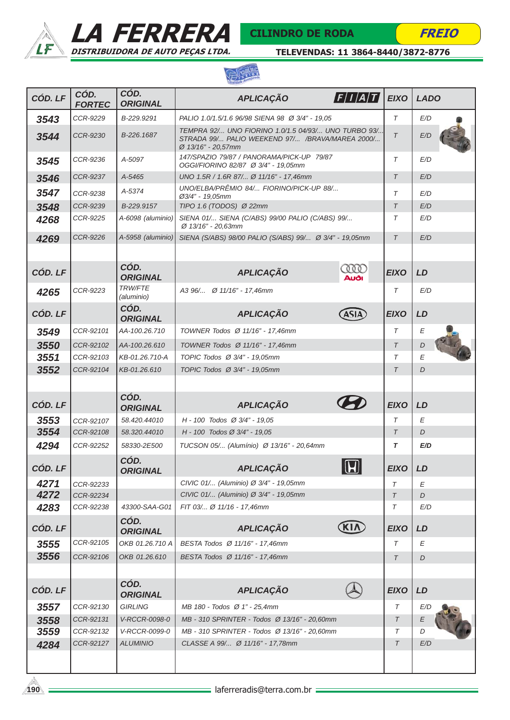







| CÓD. LF | CÓD.<br><b>FORTEC</b> | CÓD.<br><b>ORIGINAL</b>      | $\left F/I/A/T\right $<br><b>APLICAÇÃO</b>                                                                                   | <b>EIXO</b> | <b>LADO</b> |
|---------|-----------------------|------------------------------|------------------------------------------------------------------------------------------------------------------------------|-------------|-------------|
| 3543    | CCR-9229              | B-229.9291                   | PALIO 1.0/1.5/1.6 96/98 SIENA 98 Ø 3/4" - 19.05                                                                              | T           | E/D         |
| 3544    | CCR-9230              | B-226.1687                   | TEMPRA 92/ UNO FIORINO 1.0/1.5 04/93/ UNO TURBO 93/<br>STRADA 99/ PALIO WEEKEND 97/ /BRAVA/MAREA 2000/<br>Ø 13/16" - 20,57mm | $\tau$      | E/D         |
| 3545    | CCR-9236              | A-5097                       | 147/SPAZIO 79/87 / PANORAMA/PICK-UP 79/87<br>OGGI/FIORINO 82/87 Ø 3/4" - 19,05mm                                             | T           | E/D         |
| 3546    | CCR-9237              | A-5465                       | UNO 1.5R / 1.6R 87/ Ø 11/16" - 17,46mm                                                                                       | $\tau$      | E/D         |
| 3547    | CCR-9238              | A-5374                       | UNO/ELBA/PRÊMIO 84/ FIORINO/PICK-UP 88/<br>Ø3/4" - 19,05mm                                                                   | T           | E/D         |
| 3548    | CCR-9239              | B-229.9157                   | TIPO 1.6 (TODOS) $\varnothing$ 22mm                                                                                          | $\tau$      | E/D         |
| 4268    | CCR-9225              | A-6098 (aluminio)            | SIENA 01/ SIENA (C/ABS) 99/00 PALIO (C/ABS) 99/<br>Ø 13/16" - 20.63mm                                                        | $\tau$      | E/D         |
| 4269    | CCR-9226              | A-5958 (aluminio)            | SIENA (S/ABS) 98/00 PALIO (S/ABS) 99/ Ø 3/4" - 19,05mm                                                                       | $\tau$      | E/D         |
|         |                       |                              |                                                                                                                              |             |             |
| CÓD. LF |                       | CÓD.<br><b>ORIGINAL</b>      | <b>CODO</b><br><b>APLICAÇÃO</b><br>Auði                                                                                      | <b>EIXO</b> | LD          |
| 4265    | CCR-9223              | <b>TRW/FTE</b><br>(aluminio) | A3 96/ Ø 11/16" - 17.46mm                                                                                                    | T           | E/D         |
| CÓD. LF |                       | CÓD.<br><b>ORIGINAL</b>      | <b>APLICAÇÃO</b><br><b>ASIA</b>                                                                                              | <b>EIXO</b> | LD          |
| 3549    | CCR-92101             | AA-100.26.710                | TOWNER Todos Ø 11/16" - 17,46mm                                                                                              | T           | E           |
| 3550    | CCR-92102             | AA-100.26.610                | TOWNER Todos Ø 11/16" - 17,46mm                                                                                              | $\tau$      | D           |
| 3551    | CCR-92103             | KB-01.26.710-A               | TOPIC Todos Ø 3/4" - 19,05mm                                                                                                 | T           | E           |
| 3552    | CCR-92104             | KB-01.26.610                 | TOPIC Todos Ø 3/4" - 19,05mm                                                                                                 | $\tau$      | D           |
|         |                       |                              |                                                                                                                              |             |             |
| CÓD. LF |                       | CÓD.<br><b>ORIGINAL</b>      | <b>APLICAÇÃO</b>                                                                                                             | <b>EIXO</b> | LD          |
| 3553    | CCR-92107             | 58.420.44010                 | $H - 100$ Todos $\varnothing$ 3/4" - 19,05                                                                                   | T           | E           |
| 3554    | CCR-92108             | 58.320.44010                 | H - 100 Todos Ø 3/4" - 19,05                                                                                                 | $\tau$      | D           |
| 4294    | CCR-92252             | 58330-2E500                  | TUCSON 05/ (Alumínio) Ø 13/16" - 20,64mm                                                                                     | T           | E/D         |
| CÓD. LF |                       | CÓD.<br><b>ORIGINAL</b>      | $\boldsymbol{\Pi}$<br>APLICAÇÃO<br>$\mathbf{w}$                                                                              | E(XO)       | LD          |
| 4271    | CCR-92233             |                              | CIVIC 01/ (Aluminio) Ø 3/4" - 19,05mm                                                                                        | T           | E           |
| 4272    | CCR-92234             |                              | CIVIC 01/ (Aluminio) Ø 3/4" - 19,05mm                                                                                        | $\tau$      | D           |
| 4283    | CCR-92238             | 43300-SAA-G01<br>CÓD.        | FIT 03/ Ø 11/16 - 17,46mm                                                                                                    | T           | E/D         |
| CÓD. LF |                       | <b>ORIGINAL</b>              | <b>KIN</b><br><b>APLICAÇÃO</b>                                                                                               | <b>EIXO</b> | LD          |
| 3555    | CCR-92105             | OKB 01.26.710 A              | BESTA Todos Ø 11/16" - 17,46mm                                                                                               | T           | E           |
| 3556    | CCR-92106             | OKB 01.26.610                | BESTA Todos Ø 11/16" - 17,46mm                                                                                               | $\tau$      | D           |
|         |                       |                              |                                                                                                                              |             |             |
| CÓD. LF |                       | CÓD.<br><b>ORIGINAL</b>      | <b>APLICAÇÃO</b>                                                                                                             | <b>EIXO</b> | LD          |
| 3557    | CCR-92130             | <b>GIRLING</b>               | MB 180 - Todos Ø 1" - 25,4mm                                                                                                 | T           | E/D         |
| 3558    | CCR-92131             | V-RCCR-0098-0                | MB - 310 SPRINTER - Todos Ø 13/16" - 20,60mm                                                                                 | Τ           | Ε           |
| 3559    | CCR-92132             | V-RCCR-0099-0                | MB - 310 SPRINTER - Todos Ø 13/16" - 20,60mm                                                                                 | Τ           | D           |
| 4284    | CCR-92127             | <b>ALUMINIO</b>              | CLASSE A 99/ Ø 11/16" - 17,78mm                                                                                              | $\tau$      | E/D         |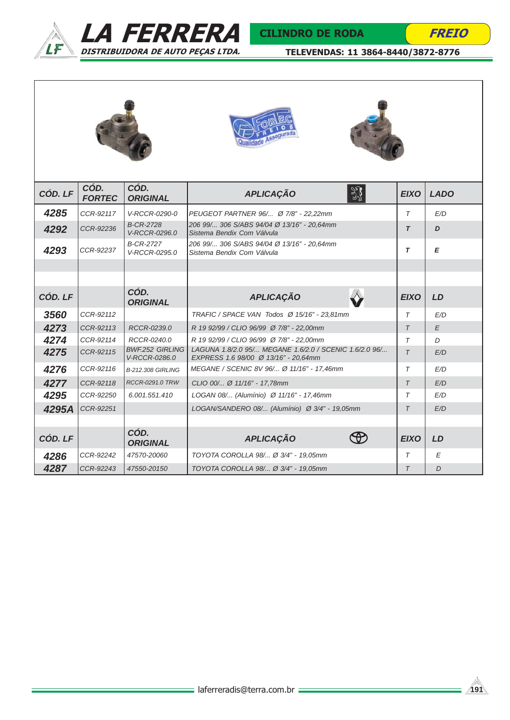



| CÓD. LF | CÓD.<br><b>FORTEC</b> | CÓD.<br><b>ORIGINAL</b>                 | 黟<br><b>APLICAÇÃO</b>                                                                          | <b>EIXO</b> | <b>LADO</b> |  |  |
|---------|-----------------------|-----------------------------------------|------------------------------------------------------------------------------------------------|-------------|-------------|--|--|
| 4285    | CCR-92117             | V-RCCR-0290-0                           | PEUGEOT PARTNER 96/ Ø 7/8" - 22,22mm                                                           | $\tau$      | E/D         |  |  |
| 4292    | CCR-92236             | <b>B-CR-2728</b><br>V-RCCR-0296.0       | 206 99/ 306 S/ABS 94/04 Ø 13/16" - 20,64mm<br>Sistema Bendix Com Válvula                       | $\tau$      | D           |  |  |
| 4293    | CCR-92237             | <b>B-CR-2727</b><br>V-RCCR-0295.0       | 206 99/ 306 S/ABS 94/04 Ø 13/16" - 20.64mm<br>Sistema Bendix Com Válvula                       | $\tau$      | E           |  |  |
|         |                       |                                         |                                                                                                |             |             |  |  |
|         |                       |                                         |                                                                                                |             |             |  |  |
| CÓD. LF |                       | CÓD.<br><b>ORIGINAL</b>                 | <b>APLICAÇÃO</b>                                                                               | <b>EIXO</b> | LD          |  |  |
| 3560    | CCR-92112             |                                         | TRAFIC / SPACE VAN Todos Ø 15/16" - 23,81mm                                                    | T           | E/D         |  |  |
| 4273    | CCR-92113             | RCCR-0239.0                             | R 19 92/99 / CLIO 96/99 Ø 7/8" - 22,00mm                                                       | $\tau$      | E           |  |  |
| 4274    | CCR-92114             | RCCR-0240.0                             | R 19 92/99 / CLIO 96/99 Ø 7/8" - 22,00mm                                                       | $\tau$      | D           |  |  |
| 4275    | CCR-92115             | <b>BWF.252 GIRLING</b><br>V-RCCR-0286.0 | LAGUNA 1.8/2.0 95/ MEGANE 1.6/2.0 / SCENIC 1.6/2.0 96/<br>EXPRESS 1.6 98/00 Ø 13/16" - 20.64mm | $\tau$      | E/D         |  |  |
| 4276    | CCR-92116             | <b>B-212.308 GIRLING</b>                | MEGANE / SCENIC 8V 96/ Ø 11/16" - 17,46mm                                                      | $\tau$      | E/D         |  |  |
| 4277    | CCR-92118             | <b>RCCR-0291.0 TRW</b>                  | CLIO 00/ Ø 11/16" - 17,78mm                                                                    | $\tau$      | E/D         |  |  |
| 4295    | CCR-92250             | 6.001.551.410                           | LOGAN 08/ (Alumínio) Ø 11/16" - 17,46mm                                                        | $\tau$      | E/D         |  |  |
| 4295A   | CCR-92251             |                                         | LOGAN/SANDERO 08/ (Alumínio) Ø 3/4" - 19,05mm                                                  | $\tau$      | E/D         |  |  |
|         |                       |                                         |                                                                                                |             |             |  |  |
| CÓD. LF |                       | CÓD.<br><b>ORIGINAL</b>                 | <b>APLICAÇÃO</b><br>₩                                                                          | <b>EIXO</b> | LD          |  |  |
| 4286    | CCR-92242             | 47570-20060                             | TOYOTA COROLLA 98/ Ø 3/4" - 19.05mm                                                            | T           | E           |  |  |
| 4287    | CCR-92243             | 47550-20150                             | TOYOTA COROLLA 98/ Ø 3/4" - 19.05mm                                                            | $\tau$      | D           |  |  |



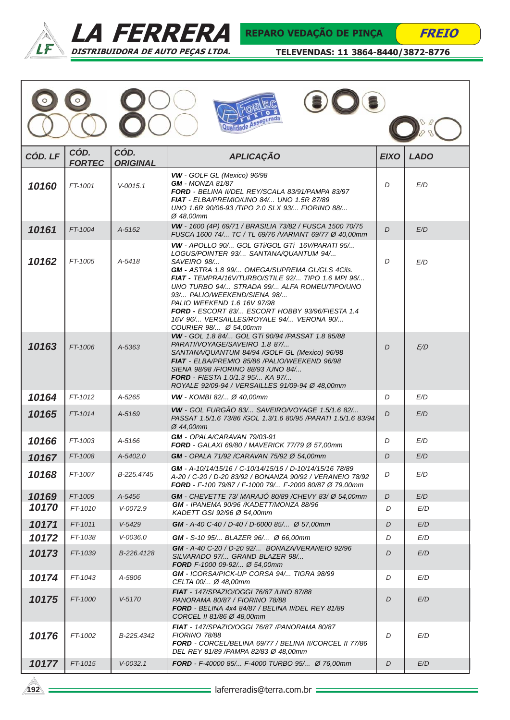

 $\circ$ 

 $\odot$ 



 $\sum$ 

FREIO

TELEVENDAS: 11 3864-8440/3872-8776

**OO:** 

| rada<br>۱ń |
|------------|
|------------|

| CÓD. LF        | CÓD.<br><b>FORTEC</b> | CÓD.<br><b>ORIGINAL</b> | <b>APLICAÇÃO</b>                                                                                                                                                                                                                                                                                                                                                                                                                                            | <b>EIXO</b> | <b>LADO</b> |  |  |
|----------------|-----------------------|-------------------------|-------------------------------------------------------------------------------------------------------------------------------------------------------------------------------------------------------------------------------------------------------------------------------------------------------------------------------------------------------------------------------------------------------------------------------------------------------------|-------------|-------------|--|--|
| 10160          | FT-1001               | $V - 0015.1$            | VW - GOLF GL (Mexico) 96/98<br><b>GM</b> - MONZA 81/87<br>FORD - BELINA II/DEL REY/SCALA 83/91/PAMPA 83/97<br>FIAT - ELBA/PREMIO/UNO 84/ UNO 1.5R 87/89<br>UNO 1.6R 90/06-93 /TIPO 2.0 SLX 93/ FIORINO 88/<br>Ø 48.00mm                                                                                                                                                                                                                                     | D           | E/D         |  |  |
| 10161          | FT-1004               | A-5162                  | VW - 1600 (4P) 69/71 / BRASILIA 73/82 / FUSCA 1500 70/75<br>FUSCA 1600 74/ TC / TL 69/76 /VARIANT 69/77 Ø 40,00mm                                                                                                                                                                                                                                                                                                                                           | D           | E/D         |  |  |
| 10162          | FT-1005               | $A - 5418$              | VW - APOLLO 90/ GOL GTi/GOL GTi 16V/PARATI 95/<br>LOGUS/POINTER 93/ SANTANA/QUANTUM 94/<br>SAVEIRO 98/<br>GM - ASTRA 1.8 99/ OMEGA/SUPREMA GL/GLS 4Cils.<br>FIAT - TEMPRA/16V/TURBO/STILE 92/ TIPO 1.6 MPI 96/<br>UNO TURBO 94/ STRADA 99/ ALFA ROMEU/TIPO/UNO<br>93/ PALIO/WEEKEND/SIENA 98/<br>PALIO WEEKEND 1.6 16V 97/98<br><b>FORD -</b> ESCORT 83/ ESCORT HOBBY 93/96/FIESTA 1.4<br>16V 96/ VERSAILLES/ROYALE 94/ VERONA 90/<br>COURIER 98/ Ø 54,00mm | D           | E/D         |  |  |
| 10163          | FT-1006               | A-5363                  | VW - GOL 1.8 84/ GOL GTi 90/94 /PASSAT 1.8 85/88<br>PARATI/VOYAGE/SAVEIRO 1.8 87/<br>SANTANA/QUANTUM 84/94 /GOLF GL (Mexico) 96/98<br>FIAT - ELBA/PREMIO 85/86 /PALIO/WEEKEND 96/98<br>SIENA 98/98 / FIORINO 88/93 / UNO 84/<br><b>FORD</b> - FIESTA 1.0/1.3 95/ KA 97/<br>ROYALE 92/09-94 / VERSAILLES 91/09-94 Ø 48.00mm                                                                                                                                  | D           | E/D         |  |  |
| 10164          | FT-1012               | $A - 5265$              | VW - KOMBI 82/ Ø 40,00mm                                                                                                                                                                                                                                                                                                                                                                                                                                    | D           | E/D         |  |  |
| 10165          | FT-1014               | A-5169                  | VW - GOL FURGÃO 83/ SAVEIRO/VOYAGE 1.5/1.6 82/<br>PASSAT 1.5/1.6 73/86 / GOL 1.3/1.6 80/95 / PARATI 1.5/1.6 83/94<br>Ø 44,00mm                                                                                                                                                                                                                                                                                                                              | D           | E/D         |  |  |
| 10166          | FT-1003               | $A - 5166$              | GM - OPALA/CARAVAN 79/03-91<br><b>FORD</b> - GALAXI 69/80 / MAVERICK 77/79 Ø 57,00mm                                                                                                                                                                                                                                                                                                                                                                        | D           | E/D         |  |  |
| 10167          | FT-1008               | A-5402.0                | GM - OPALA 71/92 /CARAVAN 75/92 Ø 54,00mm                                                                                                                                                                                                                                                                                                                                                                                                                   | D           | E/D         |  |  |
| 10168          | FT-1007               | B-225.4745              | GM - A-10/14/15/16 / C-10/14/15/16 / D-10/14/15/16 78/89<br>A-20 / C-20 / D-20 83/92 / BONANZA 90/92 / VERANEIO 78/92<br>FORD - F-100 79/87 / F-1000 79/ F-2000 80/87 Ø 79,00mm<br><b>GM</b> - A-40 C-20 / D-20 92/ BONAZA/VERANEIO 92/96                                                                                                                                                                                                                   |             | E/D         |  |  |
| 10169<br>10170 | FT-1009<br>FT-1010    | A-5456<br>$V - 0072.9$  | GM - CHEVETTE 73/ MARAJÓ 80/89 /CHEVY 83/ Ø 54,00mm<br>GM - IPANEMA 90/96 /KADETT/MONZA 88/96<br>KADETT GSI 92/96 Ø 54,00mm                                                                                                                                                                                                                                                                                                                                 | D<br>D      | E/D<br>E/D  |  |  |
| 10171          | FT-1011               | $V-5429$                | <b>GM</b> - A-40 C-40 / D-40 / D-6000 85/ Ø 57,00mm                                                                                                                                                                                                                                                                                                                                                                                                         | D           | E/D         |  |  |
| 10172          | FT-1038               | V-0036.0                | <b>GM</b> - S-10 95/ BLAZER 96/ Ø 66,00mm                                                                                                                                                                                                                                                                                                                                                                                                                   | D           | E/D         |  |  |
| 10173          | FT-1039               | B-226.4128              | SILVARADO 97/ GRAND BLAZER 98/<br>FORD F-1000 09-92/ Ø 54,00mm                                                                                                                                                                                                                                                                                                                                                                                              | D           | E/D         |  |  |
| 10174          | FT-1043               | A-5806                  | GM - ICORSA/PICK-UP CORSA 94/ TIGRA 98/99<br>CELTA 00/ Ø 48.00mm                                                                                                                                                                                                                                                                                                                                                                                            | D           | E/D         |  |  |
| 10175          | FT-1000               | $V - 5170$              | <b>FIAT</b> - 147/SPAZIO/OGGI 76/87 /UNO 87/88<br>PANORAMA 80/87 / FIORINO 78/88<br><b>FORD</b> - BELINA 4x4 84/87 / BELINA II/DEL REY 81/89<br>CORCEL II 81/86 Ø 48,00mm                                                                                                                                                                                                                                                                                   | D           | E/D         |  |  |
| 10176          | FT-1002               | B-225.4342              | FIAT - 147/SPAZIO/OGGI 76/87 /PANORAMA 80/87<br><b>FIORINO 78/88</b><br>FORD - CORCEL/BELINA 69/77 / BELINA II/CORCEL II 77/86<br>DEL REY 81/89 /PAMPA 82/83 Ø 48,00mm                                                                                                                                                                                                                                                                                      | D           | E/D         |  |  |
| 10177          | FT-1015               | $V - 0032.1$            | <b>FORD</b> - F-40000 85/ F-4000 TURBO 95/ Ø 76,00mm                                                                                                                                                                                                                                                                                                                                                                                                        | D           | E/D         |  |  |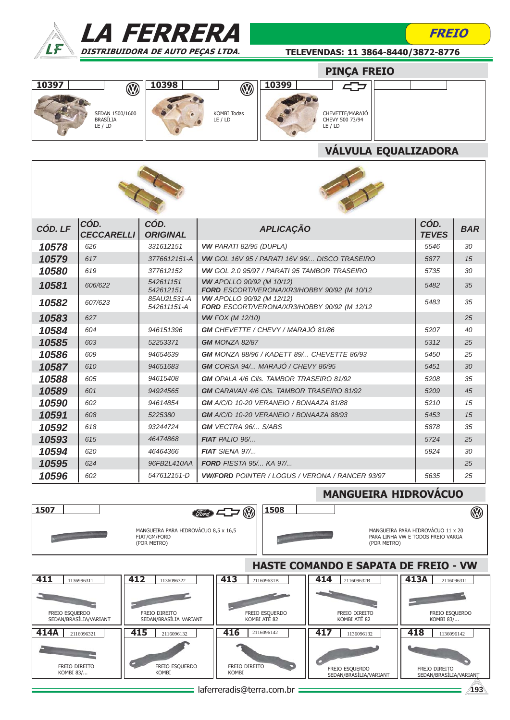

KOMBI 83/...



### TELEVENDAS: 11 3864-8440/3872-8776

FREIO

### PINÇA FREIO





### VÁLVULA EQUALIZADORA



| CÓD. LF | CÓD.<br>CECCARELLI | CÓD.<br><b>ORIGINAL</b>    | <b>APLICAÇÃO</b>                                                                | CÓD.<br><b>TEVES</b> | <b>BAR</b> |
|---------|--------------------|----------------------------|---------------------------------------------------------------------------------|----------------------|------------|
| 10578   | 626                | 331612151                  | <b>VW PARATI 82/95 (DUPLA)</b>                                                  | 5546                 | 30         |
| 10579   | 617                | 3776612151-A               | <b>VW GOL 16V 95 / PARATI 16V 96/ DISCO TRASEIRO</b>                            | 5877                 | 15         |
| 10580   | 619                | 377612152                  | <b>VW GOL 2.0 95/97 / PARATI 95 TAMBOR TRASEIRO</b>                             | 5735                 | 30         |
| 10581   | 606/622            | 542611151<br>542612151     | <b>VW</b> APOLLO 90/92 (M 10/12)<br>FORD ESCORT/VERONA/XR3/HOBBY 90/92 (M 10/12 | 5482                 | 35         |
| 10582   | 607/623            | 85AU2L531-A<br>542611151-A | <b>VW</b> APOLLO 90/92 (M 12/12)<br>FORD ESCORT/VERONA/XR3/HOBBY 90/92 (M 12/12 | 5483                 | 35         |
| 10583   | 627                |                            | <b>VW FOX (M 12/10)</b>                                                         |                      | 25         |
| 10584   | 604                | 946151396                  | <b>GM</b> CHEVETTE / CHEVY / MARAJÓ 81/86                                       | 5207                 | 40         |
| 10585   | 603                | 52253371                   | GM MONZA 82/87                                                                  | 5312                 | 25         |
| 10586   | 609                | 94654639                   | GM MONZA 88/96 / KADETT 89/ CHEVETTE 86/93                                      | 5450                 | 25         |
| 10587   | 610                | 94651683                   | <b>GM</b> CORSA 94/ MARAJÓ / CHEVY 86/95                                        | 5451                 | 30         |
| 10588   | 605                | 94615408                   | <b>GM</b> OPALA 4/6 Cils. TAMBOR TRASEIRO 81/92                                 | 5208                 | 35         |
| 10589   | 601                | 94924565                   | <b>GM</b> CARAVAN 4/6 Cils. TAMBOR TRASEIRO 81/92                               | 5209                 | 45         |
| 10590   | 602                | 94614854                   | <b>GM</b> A/C/D 10-20 VERANEIO / BONAAZA 81/88                                  | 5210                 | 15         |
| 10591   | 608                | 5225380                    | <b>GM</b> A/C/D 10-20 VERANEIO / BONAAZA 88/93                                  | 5453                 | 15         |
| 10592   | 618                | 93244724                   | <b>GM VECTRA 96/ S/ABS</b>                                                      | 5878                 | 35         |
| 10593   | 615                | 46474868                   | $FIAT$ PALIO $96$                                                               | 5724                 | 25         |
| 10594   | 620                | 46464366                   | FIAT SIENA 97/                                                                  | 5924                 | 30         |
| 10595   | 624                | 96FB2L410AA                | <b>FORD FIESTA 95/ KA 97/</b>                                                   |                      | 25         |
| 10596   | 602                | 547612151-D                | <b>VW/FORD</b> POINTER / LOGUS / VERONA / RANCER 93/97                          | 5635                 | 25         |



### laferreradis@terra.com.br **193**

KOMBI FREIO ESQUERDO SEDAN/BRASÍLIA/VARIANT

**KOMBI** 

FREIO DIREITO SEDAN/BRASÍLIA/VARIANT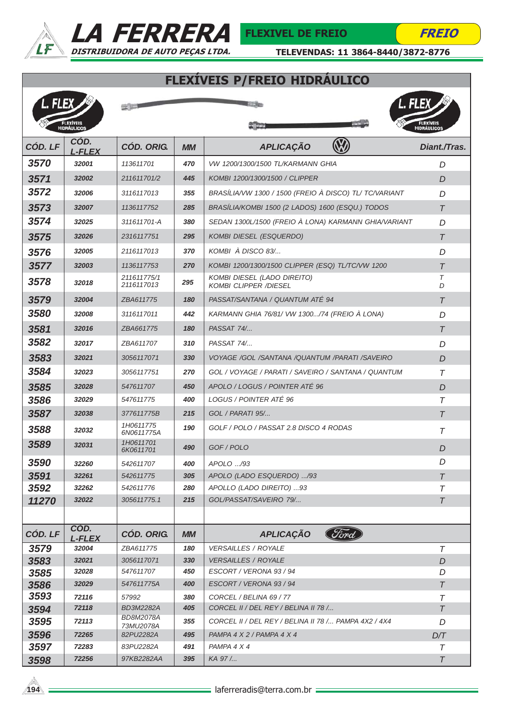



FREIO

*T*

TELEVENDAS: 11 3864-8440/3872-8776

# FLEXÍVEIS P/FREIO HIDRÁULICO

| l. Flex. |                                        | <b>Experience</b>         |           | L. FLEX                                                            |                                  |
|----------|----------------------------------------|---------------------------|-----------|--------------------------------------------------------------------|----------------------------------|
|          | <b>FLEXIVEIS</b><br><b>HIDRÁULICOS</b> |                           |           |                                                                    | <b>FLEXÍVEIS<br/>HIDRÁULICOS</b> |
| CÓD. LF  | CÓD.<br><b>L-FLEX</b>                  | <b>CÓD. ORIG.</b>         | <b>MM</b> | <b>APLICAÇÃO</b>                                                   | Diant./Tras.                     |
| 3570     | 32001                                  | 113611701                 | 470       | VW 1200/1300/1500 TL/KARMANN GHIA                                  | D                                |
| 3571     | 32002                                  | 211611701/2               | 445       | KOMBI 1200/1300/1500 / CLIPPER                                     | D                                |
| 3572     | 32006                                  | 3116117013                | 355       | BRASÍLIA/VW 1300 / 1500 (FREIO À DISCO) TL/ TC/VARIANT             | D                                |
| 3573     | 32007                                  | 1136117752                | 285       | BRASİLIA/KOMBI 1500 (2 LADOS) 1600 (ESQU.) TODOS                   | $\tau$                           |
| 3574     | 32025                                  | 311611701-A               | 380       | SEDAN 1300L/1500 (FREIO À LONA) KARMANN GHIA/VARIANT               | D                                |
| 3575     | 32026                                  | 2316117751                | 295       | <b>KOMBI DIESEL (ESQUERDO)</b>                                     | $\tau$                           |
| 3576     | 32005                                  | 2116117013                | 370       | KOMBI À DISCO 83/                                                  | D                                |
| 3577     | 32003                                  | 1136117753                | 270       | KOMBI 1200/1300/1500 CLIPPER (ESQ) TL/TC/VW 1200                   | $\tau$                           |
| 3578     | 32018                                  | 211611775/1<br>2116117013 | 295       | <b>KOMBI DIESEL (LADO DIREITO)</b><br><b>KOMBI CLIPPER /DIESEL</b> | T<br>D                           |
| 3579     | 32004                                  | ZBA611775                 | 180       | PASSAT/SANTANA / QUANTUM ATÉ 94                                    | $\tau$                           |
| 3580     | 32008                                  | 3116117011                | 442       | KARMANN GHIA 76/81/ VW 1300/74 (FREIO A LONA)                      | D                                |
| 3581     | 32016                                  | ZBA661775                 | 180       | PASSAT 74/                                                         | $\tau$                           |
| 3582     | 32017                                  | ZBA611707                 | 310       | PASSAT 74/                                                         | D                                |
| 3583     | 32021                                  | 3056117071                | 330       | VOYAGE /GOL /SANTANA /QUANTUM /PARATI /SAVEIRO                     | D                                |
| 3584     | 32023                                  | 3056117751                | 270       | GOL / VOYAGE / PARATI / SAVEIRO / SANTANA / QUANTUM                | $\tau$                           |
| 3585     | 32028                                  | 547611707                 | 450       | APOLO / LOGUS / POINTER ATÉ 96                                     | D                                |
| 3586     | 32029                                  | 547611775                 | 400       | LOGUS / POINTER ATÉ 96                                             | $\tau$                           |
| 3587     | 32038                                  | 377611775B                | 215       | GOL / PARATI 95/                                                   | $\tau$                           |
| 3588     | 32032                                  | 1H0611775<br>6N0611775A   | 190       | GOLF / POLO / PASSAT 2.8 DISCO 4 RODAS                             | Τ                                |
| 3589     | 32031                                  | 1H0611701<br>6K0611701    | 490       | GOF/POLO                                                           | D                                |
| 3590     | 32260                                  | 542611707                 | 400       | APOLO /93                                                          | D                                |
| 3591     | 32261                                  | 542611775                 | 305       | APOLO (LADO ESQUERDO) /93                                          | $\tau$                           |
| 3592     | 32262                                  | 542611776                 | 280       | APOLLO (LADO DIREITO) 93                                           | Τ                                |
| 11270    | 32022                                  | 305611775.1               | 215       | GOL/PASSAT/SAVEIRO 79/                                             | $\tau$                           |
|          |                                        |                           |           |                                                                    |                                  |
| CÓD. LF  | CÓD.<br><b>L-FLEX</b>                  | <b>CÓD. ORIG.</b>         | <b>MM</b> | Ford<br><b>APLICAÇÃO</b>                                           |                                  |
| 3579     | 32004                                  | ZBA611775                 | 180       | <b>VERSAILLES / ROYALE</b>                                         | $\tau$                           |
| 3583     | 32021                                  | 3056117071                | 330       | <b>VERSAILLES / ROYALE</b>                                         | D                                |
| 3585     | 32028                                  | 547611707                 | 450       | ESCORT / VERONA 93 / 94                                            | D                                |
| 3586     | 32029                                  | 547611775A                | 400       | ESCORT / VERONA 93 / 94                                            | $\tau$                           |
| 3593     | 72116                                  | 57992                     | 380       | CORCEL / BELINA 69 / 77                                            | Τ                                |
| 3594     | 72118                                  | BD3M2282A                 | 405       | CORCEL II / DEL REY / BELINA II 78 /                               | $\tau$                           |
| 3595     | 72113                                  | BD8M2078A<br>73MU2078A    | 355       | CORCEL II / DEL REY / BELINA II 78 / PAMPA 4X2 / 4X4               | D                                |
| 3596     | 72265                                  | 82PU2282A                 | 495       | PAMPA 4 X 2 / PAMPA 4 X 4                                          | D/T                              |



**3598** *72256**97KB2282AA* **395** *AA 97 /...* **<b>T** 

*3597 <sup>72283</sup> 83PU2282A PAMPA 4 X 4 <sup>491</sup>*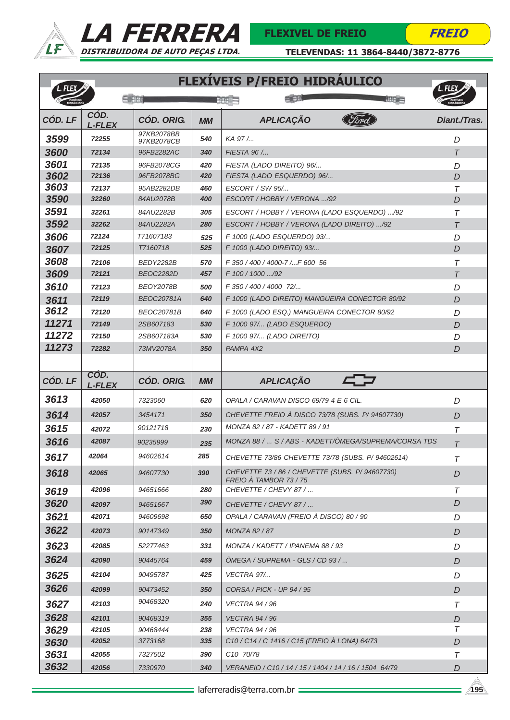



TELEVENDAS: 11 3864-8440/3872-8776

**FLEXÍVEIS D/FREIO HIDRÁULICO** 

| CÓD.<br>CÓD. LF<br><b>CÓD. ORIG.</b><br><b>APLICAÇÃO</b><br><b>MM</b><br><b>L-FLEX</b><br>97KB2078BB<br>3599<br>72255<br>540<br>KA 97/<br>97KB2078CB<br>3600<br>72134<br>FIESTA 96 /<br>96FB2282AC<br>340<br>3601<br>72135<br>96FB2078CG<br>420<br>FIESTA (LADO DIREITO) 96/<br>3602<br>72136<br>FIESTA (LADO ESQUERDO) 96/<br>96FB2078BG<br>420<br>3603<br>72137<br>95AB2282DB<br>460<br>ESCORT / SW 95/<br>3590<br>ESCORT / HOBBY / VERONA /92<br>32260<br>84AU2078B<br>400<br>3591<br>32261<br>84AU2282B<br>305<br>ESCORT / HOBBY / VERONA (LADO ESQUERDO) /92<br>3592<br>32262<br>ESCORT / HOBBY / VERONA (LADO DIREITO) /92<br>84AU2282A<br>280<br>72124<br>T71607183<br>3606<br>F 1000 (LADO ESQUERDO) 93/<br>525<br>72125<br>T7160718<br>525<br>F 1000 (LADO DIREITO) 93/<br>3607<br>3608<br>72106<br>BEDY2282B<br>570<br>F 350 / 400 / 4000-7 /F 600 56<br>3609<br>72121<br><b>BEOC2282D</b><br>F 100 / 1000 /92<br>457 | Diant./Tras.<br>D<br>$\tau$<br>D<br>$\overline{D}$<br>$\tau$<br>D<br>T<br>$\tau$<br>D |
|---------------------------------------------------------------------------------------------------------------------------------------------------------------------------------------------------------------------------------------------------------------------------------------------------------------------------------------------------------------------------------------------------------------------------------------------------------------------------------------------------------------------------------------------------------------------------------------------------------------------------------------------------------------------------------------------------------------------------------------------------------------------------------------------------------------------------------------------------------------------------------------------------------------------------------|---------------------------------------------------------------------------------------|
|                                                                                                                                                                                                                                                                                                                                                                                                                                                                                                                                                                                                                                                                                                                                                                                                                                                                                                                                 |                                                                                       |
|                                                                                                                                                                                                                                                                                                                                                                                                                                                                                                                                                                                                                                                                                                                                                                                                                                                                                                                                 |                                                                                       |
|                                                                                                                                                                                                                                                                                                                                                                                                                                                                                                                                                                                                                                                                                                                                                                                                                                                                                                                                 |                                                                                       |
|                                                                                                                                                                                                                                                                                                                                                                                                                                                                                                                                                                                                                                                                                                                                                                                                                                                                                                                                 |                                                                                       |
|                                                                                                                                                                                                                                                                                                                                                                                                                                                                                                                                                                                                                                                                                                                                                                                                                                                                                                                                 |                                                                                       |
|                                                                                                                                                                                                                                                                                                                                                                                                                                                                                                                                                                                                                                                                                                                                                                                                                                                                                                                                 |                                                                                       |
|                                                                                                                                                                                                                                                                                                                                                                                                                                                                                                                                                                                                                                                                                                                                                                                                                                                                                                                                 |                                                                                       |
|                                                                                                                                                                                                                                                                                                                                                                                                                                                                                                                                                                                                                                                                                                                                                                                                                                                                                                                                 |                                                                                       |
|                                                                                                                                                                                                                                                                                                                                                                                                                                                                                                                                                                                                                                                                                                                                                                                                                                                                                                                                 |                                                                                       |
|                                                                                                                                                                                                                                                                                                                                                                                                                                                                                                                                                                                                                                                                                                                                                                                                                                                                                                                                 | D                                                                                     |
|                                                                                                                                                                                                                                                                                                                                                                                                                                                                                                                                                                                                                                                                                                                                                                                                                                                                                                                                 |                                                                                       |
|                                                                                                                                                                                                                                                                                                                                                                                                                                                                                                                                                                                                                                                                                                                                                                                                                                                                                                                                 | $\tau$<br>$\tau$                                                                      |
| F 350 / 400 / 4000 72/<br><b>BEOY2078B</b>                                                                                                                                                                                                                                                                                                                                                                                                                                                                                                                                                                                                                                                                                                                                                                                                                                                                                      | D                                                                                     |
| 3610<br>72123<br>500<br>72119<br><b>BEOC20781A</b><br>F 1000 (LADO DIREITO) MANGUEIRA CONECTOR 80/92<br>640                                                                                                                                                                                                                                                                                                                                                                                                                                                                                                                                                                                                                                                                                                                                                                                                                     | D                                                                                     |
| 3611<br>3612<br>72120<br>F 1000 (LADO ESQ.) MANGUEIRA CONECTOR 80/92<br><b>BEOC20781B</b><br>640                                                                                                                                                                                                                                                                                                                                                                                                                                                                                                                                                                                                                                                                                                                                                                                                                                |                                                                                       |
| 11271<br>72149<br>F 1000 97/ (LADO ESQUERDO)<br>2SB607183<br>530                                                                                                                                                                                                                                                                                                                                                                                                                                                                                                                                                                                                                                                                                                                                                                                                                                                                | D<br>D                                                                                |
| 11272<br>72150<br>2SB607183A<br>530<br>F 1000 97/ (LADO DIREITO)                                                                                                                                                                                                                                                                                                                                                                                                                                                                                                                                                                                                                                                                                                                                                                                                                                                                | D                                                                                     |
| 11273<br>72282<br>73MV2078A<br>350<br>PAMPA 4X2                                                                                                                                                                                                                                                                                                                                                                                                                                                                                                                                                                                                                                                                                                                                                                                                                                                                                 | D                                                                                     |
|                                                                                                                                                                                                                                                                                                                                                                                                                                                                                                                                                                                                                                                                                                                                                                                                                                                                                                                                 |                                                                                       |
| COD.                                                                                                                                                                                                                                                                                                                                                                                                                                                                                                                                                                                                                                                                                                                                                                                                                                                                                                                            |                                                                                       |
| CÓD. LF<br><b>CÓD. ORIG.</b><br><b>APLICAÇÃO</b><br><b>MM</b><br>L-FLEX                                                                                                                                                                                                                                                                                                                                                                                                                                                                                                                                                                                                                                                                                                                                                                                                                                                         |                                                                                       |
| 3613<br>42050<br>7323060<br>620<br>OPALA / CARAVAN DISCO 69/79 4 E 6 CIL.                                                                                                                                                                                                                                                                                                                                                                                                                                                                                                                                                                                                                                                                                                                                                                                                                                                       | D                                                                                     |
| 3614<br>CHEVETTE FREIO À DISCO 73/78 (SUBS. P/ 94607730)<br>42057<br>3454171<br>350                                                                                                                                                                                                                                                                                                                                                                                                                                                                                                                                                                                                                                                                                                                                                                                                                                             | D                                                                                     |
| MONZA 82 / 87 - KADETT 89 / 91<br>3615<br>90121718<br>42072<br>230                                                                                                                                                                                                                                                                                                                                                                                                                                                                                                                                                                                                                                                                                                                                                                                                                                                              | $\tau$                                                                                |
| 3616<br>MONZA 88 /  S / ABS - KADETT/ÔMEGA/SUPREMA/CORSA TDS<br>42087<br>90235999<br>235                                                                                                                                                                                                                                                                                                                                                                                                                                                                                                                                                                                                                                                                                                                                                                                                                                        | $\tau$                                                                                |
| 285<br>42064<br>94602614<br>3617<br>CHEVETTE 73/86 CHEVETTE 73/78 (SUBS. P/ 94602614)                                                                                                                                                                                                                                                                                                                                                                                                                                                                                                                                                                                                                                                                                                                                                                                                                                           | $\tau$                                                                                |
| CHEVETTE 73 / 86 / CHEVETTE (SUBS. P/ 94607730)<br>3618<br>42065<br>94607730<br>390<br>FREIO À TAMBOR 73 / 75                                                                                                                                                                                                                                                                                                                                                                                                                                                                                                                                                                                                                                                                                                                                                                                                                   | D                                                                                     |
| 42096<br>CHEVETTE / CHEVY 87 /<br>94651666<br>280<br>3619                                                                                                                                                                                                                                                                                                                                                                                                                                                                                                                                                                                                                                                                                                                                                                                                                                                                       | $\tau$                                                                                |
| 390<br>3620<br>42097<br>CHEVETTE / CHEVY 87 /<br>94651667                                                                                                                                                                                                                                                                                                                                                                                                                                                                                                                                                                                                                                                                                                                                                                                                                                                                       | D                                                                                     |
| 3621<br>OPALA / CARAVAN (FREIO À DISCO) 80 / 90<br>42071<br>94609698<br>650                                                                                                                                                                                                                                                                                                                                                                                                                                                                                                                                                                                                                                                                                                                                                                                                                                                     | D                                                                                     |
| 3622<br>42073<br><b>MONZA 82 / 87</b><br>90147349<br>350                                                                                                                                                                                                                                                                                                                                                                                                                                                                                                                                                                                                                                                                                                                                                                                                                                                                        | D                                                                                     |
| 3623<br>42085<br>52277463<br>331<br>MONZA / KADETT / IPANEMA 88 / 93                                                                                                                                                                                                                                                                                                                                                                                                                                                                                                                                                                                                                                                                                                                                                                                                                                                            | D                                                                                     |
| 3624<br>OMEGA / SUPREMA - GLS / CD 93 /<br>42090<br>90445764<br>459                                                                                                                                                                                                                                                                                                                                                                                                                                                                                                                                                                                                                                                                                                                                                                                                                                                             | D                                                                                     |
| 3625<br>42104<br>425<br><b>VECTRA 97/</b><br>90495787                                                                                                                                                                                                                                                                                                                                                                                                                                                                                                                                                                                                                                                                                                                                                                                                                                                                           | D                                                                                     |
| 3626<br>CORSA / PICK - UP 94 / 95<br>42099<br>90473452<br>350                                                                                                                                                                                                                                                                                                                                                                                                                                                                                                                                                                                                                                                                                                                                                                                                                                                                   | D                                                                                     |
| 90468320<br>3627<br>42103<br>VECTRA 94 / 96<br>240                                                                                                                                                                                                                                                                                                                                                                                                                                                                                                                                                                                                                                                                                                                                                                                                                                                                              | $\tau$                                                                                |
| 3628<br>42101<br>90468319<br>355<br><b>VECTRA 94 / 96</b>                                                                                                                                                                                                                                                                                                                                                                                                                                                                                                                                                                                                                                                                                                                                                                                                                                                                       | D                                                                                     |
| 3629<br>42105<br>90468444<br>238<br>VECTRA 94 / 96                                                                                                                                                                                                                                                                                                                                                                                                                                                                                                                                                                                                                                                                                                                                                                                                                                                                              | $\tau$                                                                                |
| C10 / C14 / C 1416 / C15 (FREIO À LONA) 64/73<br>42052<br>3773168<br>335<br>3630                                                                                                                                                                                                                                                                                                                                                                                                                                                                                                                                                                                                                                                                                                                                                                                                                                                | D                                                                                     |
| 3631<br>C10 70/78<br>42055<br>7327502<br>390                                                                                                                                                                                                                                                                                                                                                                                                                                                                                                                                                                                                                                                                                                                                                                                                                                                                                    | Τ                                                                                     |
| 3632<br>42056<br>340<br>VERANEIO / C10 / 14 / 15 / 1404 / 14 / 16 / 1504 64/79<br>7330970                                                                                                                                                                                                                                                                                                                                                                                                                                                                                                                                                                                                                                                                                                                                                                                                                                       | D                                                                                     |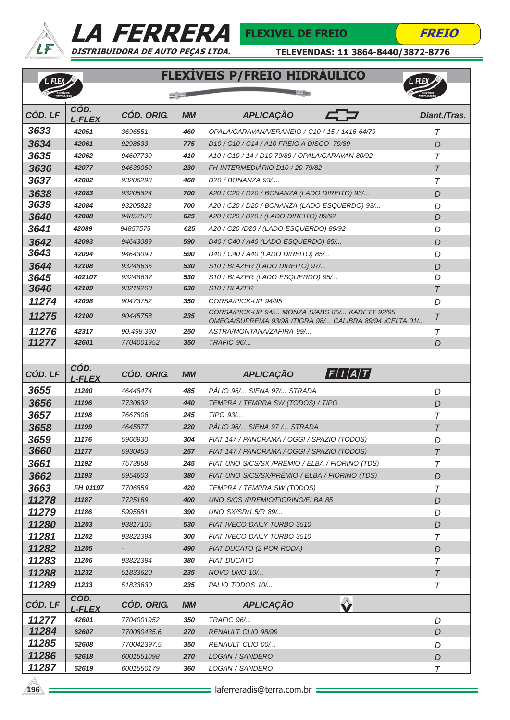

L. FLEX



**Environ** 



TELEVENDAS: 11 3864-8440/3872-8776

### FLEXÍVEIS P/FREIO HIDRÁULICO



| <b>HIDRAULICOS</b> |                       |                          | $-500$     |                                                                                                           | <b>DRAULICOS</b> |
|--------------------|-----------------------|--------------------------|------------|-----------------------------------------------------------------------------------------------------------|------------------|
| CÓD. LF            | CÓD.<br><b>L-FLEX</b> | <b>CÓD. ORIG.</b>        | <b>MM</b>  | <b>APLICAÇÃO</b>                                                                                          | Diant./Tras.     |
| 3633               | 42051                 | 3696551                  | 460        | OPALA/CARAVAN/VERANEIO / C10 / 15 / 1416 64/79                                                            | Τ                |
| 3634               | 42061                 | 9298633                  | 775        | D10 / C10 / C14 / A10 FREIO A DISCO 79/89                                                                 | D                |
| 3635               | 42062                 | 94607730                 | 410        | A10 / C10 / 14 / D10 79/89 / OPALA/CARAVAN 80/92                                                          | $\tau$           |
| 3636               | 42077                 | 94639060                 | 230        | FH INTERMEDIÁRIO D10 / 20 79/82                                                                           | $\tau$           |
| 3637               | 42082                 | 93206293                 | 468        | D <sub>20</sub> / BONANZA 93/                                                                             | $\tau$           |
| 3638               | 42083                 | 93205824                 | 700        | A20 / C20 / D20 / BONANZA (LADO DIREITO) 93/                                                              | D                |
| 3639               | 42084                 | 93205823                 | 700        | A20 / C20 / D20 / BONANZA (LADO ESQUERDO) 93/                                                             | D                |
| 3640               | 42088                 | 94857576                 | 625        | A20 / C20 / D20 / (LADO DIREITO) 89/92                                                                    | D                |
| 3641               | 42089                 | 94857575                 | 625        | A20 / C20 /D20 / (LADO ESQUERDO) 89/92                                                                    | D                |
| 3642               | 42093                 | 94643089                 | 590        | D40 / C40 / A40 (LADO ESQUERDO) 85/                                                                       | D                |
| 3643               | 42094                 | 94643090                 | 590        | D40 / C40 / A40 (LADO DIREITO) 85/                                                                        | D                |
| 3644               | 42108                 | 93248636                 | 530        | S10 / BLAZER (LADO DIREITO) 97/                                                                           | D                |
| 3645               | 402107                | 93248637                 | 530        | S10 / BLAZER (LADO ESQUERDO) 95/                                                                          | D                |
| 3646               | 42109                 | 93219200                 | 630        | S <sub>10</sub> / BLAZER                                                                                  | $\tau$           |
| 11274              | 42098                 | 90473752                 | 350        | CORSA/PICK-UP 94/95                                                                                       | D                |
| 11275              | 42100                 | 90445758                 | 235        | CORSA/PICK-UP 94/ MONZA S/ABS 85/ KADETT 92/95<br>OMEGA/SUPREMA 93/98 /TIGRA 98/ CALIBRA 89/94 /CELTA 01/ | $\tau$           |
| 11276              | 42317                 | 90.498.330               | 250        | ASTRA/MONTANA/ZAFIRA 99/                                                                                  | Τ                |
| 11277              | 42601                 | 7704001952               | 350        | TRAFIC 96/                                                                                                | D                |
|                    |                       |                          |            |                                                                                                           |                  |
| CÓD. LF            | CÓD.<br><b>L-FLEX</b> | <b>CÓD. ORIG.</b>        | <b>MM</b>  | $\bm{F}/I\bm{A}/T$<br><b>APLICAÇÃO</b>                                                                    |                  |
| 3655               | 11200                 | 46448474                 | 485        | PÁLIO 96/ SIENA 97/ STRADA                                                                                | D                |
| 3656               | 11196                 | 7730632                  | 440        | TEMPRA / TEMPRA SW (TODOS) / TIPO                                                                         | D                |
| 3657               | 11198                 | 7667806                  | 245        | TIPO 93/                                                                                                  | $\tau$           |
| 3658               | 11199                 | 4645877                  | 220        | PÁLIO 96/ SIENA 97 / STRADA                                                                               | $\tau$           |
| 3659               | 11176                 | 5966930                  | 304        | FIAT 147 / PANORAMA / OGGI / SPAZIO (TODOS)                                                               | D                |
| 3660               | 11177                 | 5930453                  | 257        | FIAT 147 / PANORAMA / OGGI / SPAZIO (TODOS)                                                               | $\tau$           |
| 3661               | 11192                 | 7573858                  | 245        | FIAT UNO S/CS/SX /PRÊMIO / ELBA / FIORINO (TDS)                                                           | $\tau$           |
| 3662               | 11193                 | 5954603                  | 380        | FIAT UNO S/CS/SX/PRÊMIO / ELBA / FIORINO (TDS)                                                            | D                |
| 3663               | FH 01197              | 7706859                  | 420        | TEMPRA / TEMPRA SW (TODOS)                                                                                | T                |
| 11278              | 11187                 | 7725169                  | 400        | UNO S/CS /PREMIO/FIORINO/ELBA 85                                                                          | D                |
| 11279              | 11186                 | 5995681                  | 390        | UNO SX/SR/1.5/R 89/                                                                                       | D                |
| 11280              | 11203                 | 93817105                 | 530        | FIAT IVECO DAILY TURBO 3510                                                                               | D                |
| 11281              | 11202                 | 93822394                 | 300        | FIAT IVECO DAILY TURBO 3510                                                                               | T                |
| 11282              | 11205                 |                          | 490        | FIAT DUCATO (2 POR RODA)                                                                                  | D                |
| 11283              | 11206                 | 93822394                 | 380        | <b>FIAT DUCATO</b>                                                                                        | $\tau$           |
| 11288              | 11232                 | 51833620                 | 235        | NOVO UNO 10/                                                                                              | $\tau$           |
| 11289              | 11233                 | 51833630                 | 235        | PALIO TODOS 10/                                                                                           | T                |
| CÓD. LF            | COD.<br><b>L-FLEX</b> | <b>CÓD. ORIG.</b>        | <b>MM</b>  | $\hat{\mathbf{v}}$<br><b>APLICAÇÃO</b>                                                                    |                  |
| 11277              | 42601                 | 7704001952               | 350        | TRAFIC 96/                                                                                                | D                |
| 11284              | 62607                 | 770080435.6              | 270        | RENAULT CLIO 98/99                                                                                        | D                |
| 11285              | 62608                 | 770042397.5              | 350        | RENAULT CLIO 00/                                                                                          | D                |
|                    |                       |                          |            |                                                                                                           |                  |
| 11286<br>11287     | 62618<br>62619        | 6001551098<br>6001550179 | 270<br>360 | LOGAN / SANDERO<br>LOGAN / SANDERO                                                                        | D<br>$\tau$      |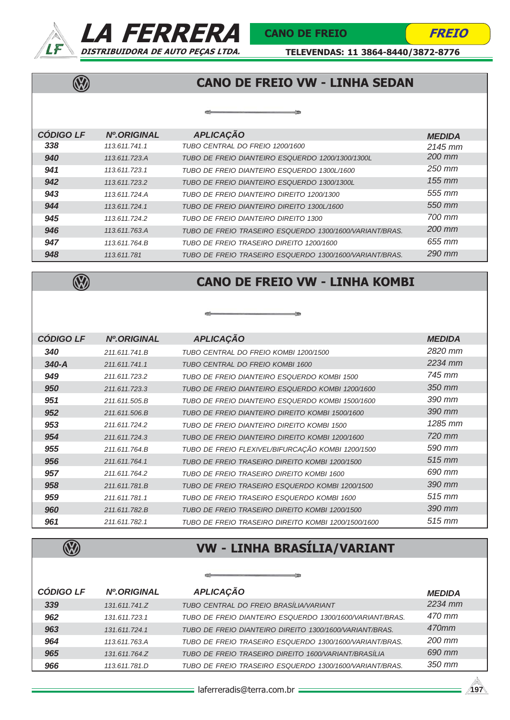

 $\overline{\mathbb{Q}}$ 



FREIO

TELEVENDAS: 11 3864-8440/3872-8776

# CANO DE FREIO VW - LINHA SEDAN

| <b>CODIGO LF</b> | <b>Nº.ORIGINAL</b> | <b>APLICAÇÃO</b>                                        | <b>MEDIDA</b> |
|------------------|--------------------|---------------------------------------------------------|---------------|
| 338              | 113.611.741.1      | TUBO CENTRAL DO FREIO 1200/1600                         | $2145$ mm     |
| 940              | 113.611.723.A      | TUBO DE FREIO DIANTEIRO ESQUERDO 1200/1300/1300L        | 200 mm        |
| 941              | 113.611.723.1      | TUBO DE FREIO DIANTEIRO ESQUERDO 1300L/1600             | $250$ mm      |
| 942              | 113.611.723.2      | TUBO DE FREIO DIANTEIRO ESQUERDO 1300/1300L             | $155$ mm      |
| 943              | 113.611.724.A      | TUBO DE FREIO DIANTEIRO DIREITO 1200/1300               | 555 mm        |
| 944              | 113.611.724.1      | TUBO DE FREIO DIANTEIRO DIREITO 1300L/1600              | 550 mm        |
| 945              | 113.611.724.2      | TUBO DE FREIO DIANTEIRO DIREITO 1300                    | 700 mm        |
| 946              | 113.611.763.A      | TUBO DE FREIO TRASEIRO ESQUERDO 1300/1600/VARIANT/BRAS. | 200 mm        |
| 947              | 113.611.764.B      | TUBO DE FREIO TRASFIRO DIREITO 1200/1600                | 655 mm        |
| 948              | 113.611.781        | TUBO DE FREIO TRASEIRO ESQUERDO 1300/1600/VARIANT/BRAS. | 290 mm        |



### CANO DE FREIO VW - LINHA KOMBI



| <b>CÓDIGO LF</b> | <b>Nº.ORIGINAL</b> | <b>APLICAÇÃO</b>                                    | <b>MEDIDA</b>      |
|------------------|--------------------|-----------------------------------------------------|--------------------|
| 340              | 211.611.741.B      | TUBO CENTRAL DO FREIO KOMBI 1200/1500               | 2820 mm            |
| $340 - A$        | 211.611.741.1      | TUBO CENTRAL DO FREIO KOMBI 1600                    | 2234 mm            |
| 949              | 211.611.723.2      | TUBO DE FREIO DIANTEIRO ESQUERDO KOMBI 1500         | 745 mm             |
| 950              | 211.611.723.3      | TUBO DE FREIO DIANTEIRO ESQUERDO KOMBI 1200/1600    | 350 mm             |
| 951              | 211.611.505.B      | TUBO DE FREIO DIANTEIRO ESQUERDO KOMBI 1500/1600    | 390 mm             |
| 952              | 211.611.506.B      | TUBO DE FREIO DIANTEIRO DIREITO KOMBI 1500/1600     | 390 mm             |
| 953              | 211.611.724.2      | TUBO DE FREIO DIANTEIRO DIREITO KOMBI 1500          | 1285 mm            |
| 954              | 211.611.724.3      | TUBO DE FREIO DIANTEIRO DIREITO KOMBI 1200/1600     | 720 mm             |
| 955              | 211.611.764.B      | TUBO DE FREIO FLEXIVEL/BIFURCAÇÃO KOMBI 1200/1500   | 590 mm             |
| 956              | 211.611.764.1      | TUBO DE FREIO TRASEIRO DIREITO KOMBI 1200/1500      | $515 \, \text{mm}$ |
| 957              | 211.611.764.2      | TUBO DE FREIO TRASEIRO DIREITO KOMBI 1600           | 690 mm             |
| 958              | 211.611.781.B      | TUBO DE FREIO TRASEIRO ESQUERDO KOMBI 1200/1500     | 390 mm             |
| 959              | 211.611.781.1      | TUBO DE FREIO TRASEIRO ESQUERDO KOMBI 1600          | 515 mm             |
| 960              | 211.611.782.B      | TUBO DE FREIO TRASEIRO DIREITO KOMBI 1200/1500      | 390 mm             |
| 961              | 211.611.782.1      | TUBO DE FREIO TRASEIRO DIREITO KOMBI 1200/1500/1600 | 515 mm             |

 $\overline{\mathbb{Q}}$ 

# VW - LINHA BRASÍLIA/VARIANT

| <b>CÓDIGO LF</b> | <b>Nº.ORIGINAL</b> | <b>APLICAÇÃO</b>                                         | <b>MEDIDA</b> |
|------------------|--------------------|----------------------------------------------------------|---------------|
| 339              | 131.611.741.Z      | TUBO CENTRAL DO FREIO BRASÍLIA/VARIANT                   | $2234$ mm     |
| 962              | 131.611.723.1      | TUBO DE FREIO DIANTEIRO ESQUERDO 1300/1600/VARIANT/BRAS. | 470 mm        |
| 963              | 131.611.724.1      | TUBO DE FREIO DIANTEIRO DIREITO 1300/1600/VARIANT/BRAS.  | 470mm         |
| 964              | 113.611.763.A      | TUBO DE FREIO TRASEIRO ESQUERDO 1300/1600/VARIANT/BRAS.  | 200 mm        |
| 965              | 131.611.764.Z      | TUBO DE FREIO TRASEIRO DIREITO 1600/VARIANT/BRASÍLIA     | 690 mm        |
| 966              | 113.611.781.D      | TUBO DE FREIO TRASEIRO ESQUERDO 1300/1600/VARIANT/BRAS.  | 350 mm        |

 $\mathcal{O}(\frac{1}{\sqrt{2}}\log\left(\frac{1}{\sqrt{2}}\right))\leq\mathcal{O}(\frac{1}{\sqrt{2}}\log\left(\frac{1}{\sqrt{2}}\right))\leq\mathcal{O}(\frac{1}{\sqrt{2}}\log\left(\frac{1}{\sqrt{2}}\right))$ 

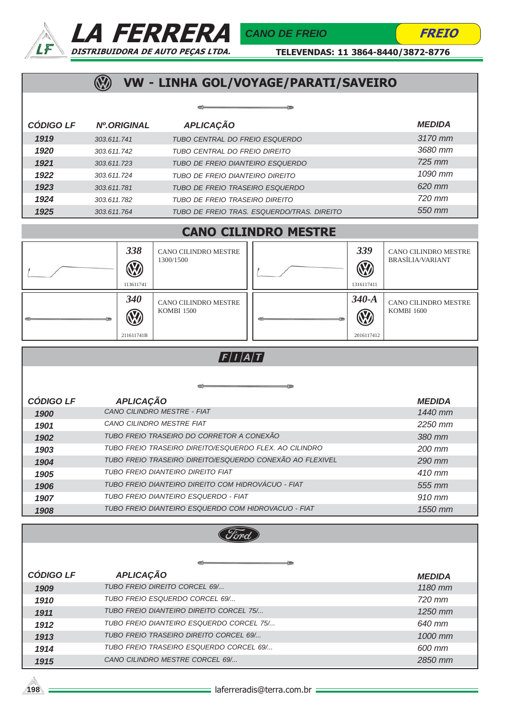



TELEVENDAS: 11 3864-8440/3872-8776

# WW - LINHA GOL/VOYAGE/PARATI/SAVEIRO

|                  |                    | -                                          |               |
|------------------|--------------------|--------------------------------------------|---------------|
| <b>CÓDIGO LF</b> | <b>Nº.ORIGINAL</b> | <b>APLICAÇÃO</b>                           | <b>MEDIDA</b> |
| 1919             | 303.611.741        | TUBO CENTRAL DO FREIO ESQUERDO             | 3170 mm       |
| 1920             | 303.611.742        | TUBO CENTRAL DO FREIO DIREITO              | 3680 mm       |
| 1921             | 303.611.723        | TUBO DE FREIO DIANTEIRO ESQUERDO           | $725$ mm      |
| 1922             | 303.611.724        | TUBO DE FREIO DIANTEIRO DIREITO            | 1090 mm       |
| 1923             | 303.611.781        | TUBO DE FREIO TRASEIRO ESQUERDO            | 620 mm        |
| 1924             | 303.611.782        | TUBO DE FREIO TRASEIRO DIREITO             | 720 mm        |
| 1925             | 303.611.764        | TUBO DE FREIO TRAS. ESQUERDO/TRAS. DIREITO | 550 mm        |

### CANO CILINDRO MESTRE

|        | 338<br><b>W</b><br>113611741  | CANO CILINDRO MESTRE<br>1300/1500         |          | 339<br><b>B</b><br>1316117411     | CANO CILINDRO MESTRE<br><b>BRASÍLIA/VARIANT</b>  |
|--------|-------------------------------|-------------------------------------------|----------|-----------------------------------|--------------------------------------------------|
| œ<br>œ | 340<br><b>W</b><br>211611741B | CANO CILINDRO MESTRE<br><b>KOMBI 1500</b> | $\equiv$ | $340-A$<br><b>B</b><br>2016117412 | <b>CANO CILINDRO MESTRE</b><br><b>KOMBI 1600</b> |

### $F/I/A/T$

| <b>CÓDIGO LF</b> | <b>APLICAÇÃO</b>                                         | <b>MEDIDA</b> |
|------------------|----------------------------------------------------------|---------------|
| 1900             | CANO CILINDRO MESTRE - FIAT                              | 1440 mm       |
| 1901             | CANO CII INDRO MESTRE FIAT                               | $2250$ mm     |
| 1902             | TUBO FREIO TRASEIRO DO CORRETOR A CONEXÃO                | 380 mm        |
| 1903             | TUBO FREIO TRASEIRO DIREITO/ESQUERDO FLEX. AO CILINDRO   | 200 mm        |
| 1904             | TUBO FREIO TRASEIRO DIREITO/ESQUERDO CONEXÃO AO FLEXIVEL | $290$ mm      |
| 1905             | TUBO FREIO DIANTEIRO DIREITO FIAT                        | $410$ mm      |
| 1906             | TUBO FREIO DIANTEIRO DIREITO COM HIDROVÁCUO - FIAT       | 555 mm        |
| 1907             | TUBO FREIO DIANTEIRO ESQUERDO - FIAT                     | 910 mm        |
| 1908             | TUBO FREIO DIANTEIRO ESQUERDO COM HIDROVACUO - FIAT      | 1550 mm       |

| <b>CÓDIGO LF</b> | <b>APLICAÇÃO</b>                         | <b>MEDIDA</b> |  |  |
|------------------|------------------------------------------|---------------|--|--|
| 1909             | TUBO FREIO DIREITO CORCEL 69/            | $1180$ mm     |  |  |
| 1910             | TUBO FREIO ESQUERDO CORCEL 69/           | 720 mm        |  |  |
| 1911             | TUBO FREIO DIANTEIRO DIREITO CORCEL 75/  | $1250$ mm     |  |  |
| 1912             | TUBO FREIO DIANTEIRO ESQUERDO CORCEL 75/ | 640 mm        |  |  |
| 1913             | TUBO FREIO TRASFIRO DIREITO CORCEL 69/   | 1000 mm       |  |  |
| 1914             | TUBO FREIO TRASEIRO ESQUERDO CORCEL 69/  | 600 mm        |  |  |
| 1915             | CANO CILINDRO MESTRE CORCEL 69/          | 2850 mm       |  |  |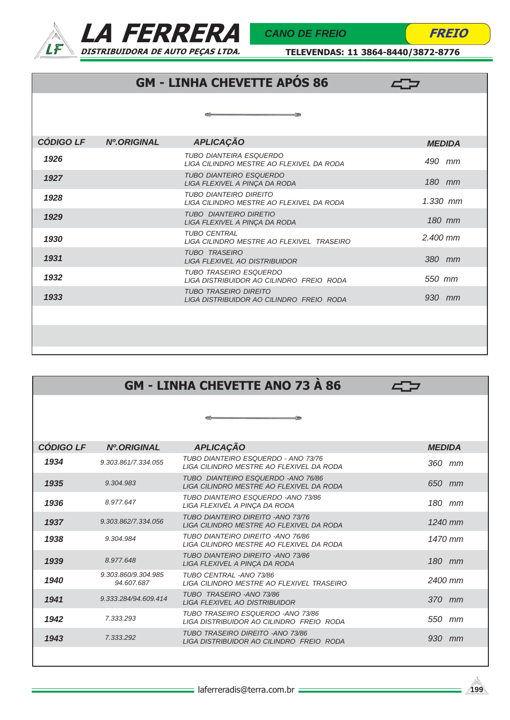



TELEVENDAS: 11 3864-8440/3872-8776

# GM - LINHA CHEVETTE APÓS 86

 $\leftarrow$ 

| <b>CÓDIGO LF</b> | <b>Nº.ORIGINAL</b> | <b>APLICAÇÃO</b>                                                          | <b>MEDIDA</b> |
|------------------|--------------------|---------------------------------------------------------------------------|---------------|
| 1926             |                    | TUBO DIANTEIRA ESQUERDO<br>LIGA CILINDRO MESTRE AO FLEXIVEL DA RODA       | 490 mm        |
| 1927             |                    | <b>TUBO DIANTEIRO ESQUERDO</b><br>LIGA FLEXIVEL A PINÇA DA RODA           | 180 mm        |
| 1928             |                    | TUBO DIANTEIRO DIREITO<br>LIGA CILINDRO MESTRE AO FLEXIVEL DA RODA        | $1.330$ mm    |
| 1929             |                    | <b>TUBO DIANTEIRO DIRETIO</b><br>LIGA FLEXIVEL A PINÇA DA RODA            | 180 mm        |
| 1930             |                    | <b>TUBO CENTRAL</b><br>LIGA CILINDRO MESTRE AO FLEXIVEL TRASEIRO          | $2.400$ mm    |
| 1931             |                    | <b>TUBO TRASEIRO</b><br>LIGA FLEXIVEL AO DISTRIBUIDOR                     | 380 mm        |
| 1932             |                    | <b>TUBO TRASEIRO ESQUERDO</b><br>LIGA DISTRIBUIDOR AO CILINDRO FREIO RODA | 550 mm        |
| 1933             |                    | <b>TUBO TRASEIRO DIREITO</b><br>LIGA DISTRIBUIDOR AO CILINDRO FREIO RODA  | 930 mm        |
|                  |                    |                                                                           |               |
|                  |                    |                                                                           |               |
|                  |                    |                                                                           |               |

| <b>GM - LINHA CHEVETTE ANO 73 A 86</b> |                                   |                                                                                 |               |  |
|----------------------------------------|-----------------------------------|---------------------------------------------------------------------------------|---------------|--|
|                                        |                                   |                                                                                 |               |  |
|                                        |                                   |                                                                                 |               |  |
| <b>CÓDIGO LF</b>                       | <b>Nº.ORIGINAL</b>                | <b>APLICAÇÃO</b>                                                                | <b>MEDIDA</b> |  |
| 1934                                   | 9.303.861/7.334.055               | TUBO DIANTEIRO ESQUERDO - ANO 73/76<br>LIGA CILINDRO MESTRE AO FLEXIVEL DA RODA | 360 mm        |  |
| 1935                                   | 9.304.983                         | TUBO DIANTEIRO ESQUERDO - ANO 76/86<br>LIGA CILINDRO MESTRE AO FLEXIVEL DA RODA | 650 mm        |  |
| 1936                                   | 8.977.647                         | TUBO DIANTEIRO ESQUERDO -ANO 73/86<br>LIGA FLEXIVÉL A PINÇA DA RODA             | 180 mm        |  |
| 1937                                   | 9.303.862/7.334.056               | TUBO DIANTEIRO DIREITO - ANO 73/76<br>LIGA CILINDRO MESTRE AO FLEXIVEL DA RODA  | 1240 mm       |  |
| 1938                                   | 9.304.984                         | TUBO DIANTEIRO DIREITO - ANO 76/86<br>LIGA CILINDRO MESTRE AO FLEXIVEL DA RODA  | 1470 mm       |  |
| 1939                                   | 8.977.648                         | TUBO DIANTEIRO DIREITO - ANO 73/86<br>LIGA FLEXIVEL A PINÇA DA RODA             | $180$ mm      |  |
| 1940                                   | 9.303.860/9.304.985<br>94.607.687 | TUBO CENTRAL -ANO 73/86<br>LIGA CILINDRO MESTRE AO FLEXIVEL TRASEIRO            | 2400 mm       |  |
| 1941                                   | 9.333.284/94.609.414              | TUBO TRASEIRO - ANO 73/86<br><b>LIGA FLEXIVEL AO DISTRIBUIDOR</b>               | 370 mm        |  |
| 1942                                   | 7.333.293                         | TUBO TRASEIRO ESQUERDO - ANO 73/86<br>LIGA DISTRIBUIDOR AO CILINDRO FREIO RODA  | 550 mm        |  |
| 1943                                   | 7.333.292                         | TUBO TRASEIRO DIREITO - ANO 73/86<br>LIGA DISTRIBUIDOR AO CILINDRO FREIO RODA   | 930 mm        |  |
|                                        |                                   |                                                                                 |               |  |

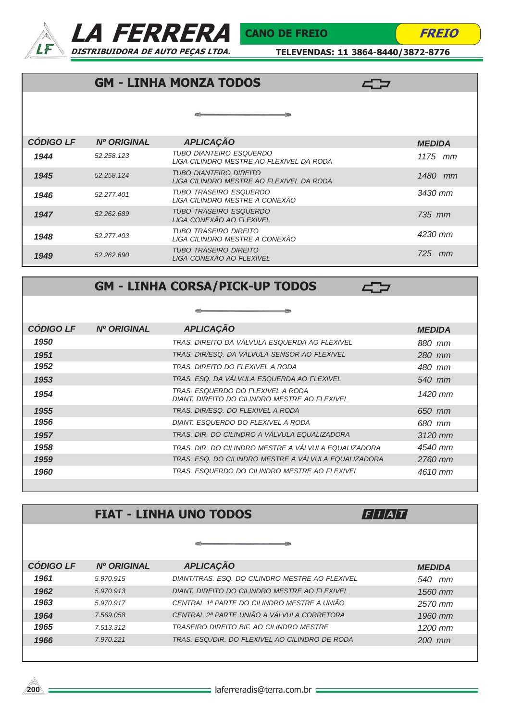



TELEVENDAS: 11 3864-8440/3872-8776

40

### GM - LINHA MONZA TODOS

### *1944 TUBO DIANTEIRO ESQUERDO LIGA CILINDRO MESTRE AO FLEXIVEL DA RODA CÓDIGO LF 1945 1946 1947 1948 1949 Nº ORIGINAL APLICAÇÃO MEDIDA TUBO DIANTEIRO DIREITO LIGA CILINDRO MESTRE AO FLEXIVEL DA RODA 52.258.123 52.258.124 52.277.401 52.262.689 52.277.403 52.262.690 TUBO TRASEIRO ESQUERDO LIGA CILINDRO MESTRE A CONEXÃO TUBO TRASEIRO ESQUERDO LIGA CONEXÃO AO FLEXIVEL TUBO TRASEIRO DIREITO LIGA CILINDRO MESTRE A CONEXÃO TUBO TRASEIRO DIREITO LIGA CONEXÃO AO FLEXIVEL 1175 mm 1480 mm 3430 mm 735 mm 4230 mm 725 mm*

### GM - LINHA CORSA/PICK-UP TODOS

 $\blacksquare$ 

**47** 

| <b>CÓDIGO LF</b> | <b>Nº ORIGINAL</b> | <b>APLICAÇÃO</b>                                                                   | <b>MEDIDA</b> |
|------------------|--------------------|------------------------------------------------------------------------------------|---------------|
| 1950             |                    | TRAS. DIREITO DA VÁLVULA ESQUERDA AO FLEXIVEL                                      | 880 mm        |
| 1951             |                    | TRAS. DIR/ESQ. DA VÁLVULA SENSOR AO FLEXIVEL                                       | 280 mm        |
| 1952             |                    | TRAS. DIREITO DO FLEXIVEL A RODA                                                   | 480 mm        |
| 1953             |                    | TRAS. ESQ. DA VÁLVULA ESQUERDA AO FLEXIVEL                                         | 540 mm        |
| 1954             |                    | TRAS. ESQUERDO DO FLEXIVEL A RODA<br>DIANT. DIREITO DO CILINDRO MESTRE AO FLEXIVEL | 1420 mm       |
| 1955             |                    | TRAS. DIR/ESQ. DO FLEXIVEL A RODA                                                  | 650 mm        |
| 1956             |                    | DIANT. ESQUERDO DO FLEXIVEL A RODA                                                 | 680 mm        |
| 1957             |                    | TRAS. DIR. DO CILINDRO A VÁLVULA EQUALIZADORA                                      | 3120 mm       |
| 1958             |                    | TRAS. DIR. DO CILINDRO MESTRE A VÁLVULA EQUALIZADORA                               | 4540 mm       |
| 1959             |                    | TRAS. ESQ. DO CILINDRO MESTRE A VÁLVULA EQUALIZADORA                               | 2760 mm       |
| 1960             |                    | TRAS. ESQUERDO DO CILINDRO MESTRE AO FLEXIVEL                                      | 4610 mm       |
|                  |                    |                                                                                    |               |

-res

 $-100$ 

# FIAT - LINHA UNO TODOS

 $F/I/A/T$ 

| <b>CÓDIGO LF</b> | <b>Nº ORIGINAL</b> | <b>APLICAÇÃO</b>                                | <b>MEDIDA</b> |
|------------------|--------------------|-------------------------------------------------|---------------|
| 1961             | 5.970.915          | DIANT/TRAS, ESQ, DO CILINDRO MESTRE AO FLEXIVEL | 540<br>mm     |
| 1962             | 5.970.913          | DIANT. DIREITO DO CILINDRO MESTRE AO FLEXIVEL   | 1560 mm       |
| 1963             | 5.970.917          | CENTRAL 1ª PARTE DO CILINDRO MESTRE A UNIÃO     | 2570 mm       |
| 1964             | 7.569.058          | CENTRAL 2ª PARTE UNIÃO A VÁLVULA CORRETORA      | $1960$ mm     |
| 1965             | 7.513.312          | TRASEIRO DIREITO BIF. AO CILINDRO MESTRE        | $1200$ mm     |
| 1966             | 7.970.221          | TRAS, ESQ./DIR, DO FLEXIVEL AO CILINDRO DE RODA | $200$ mm      |
|                  |                    |                                                 |               |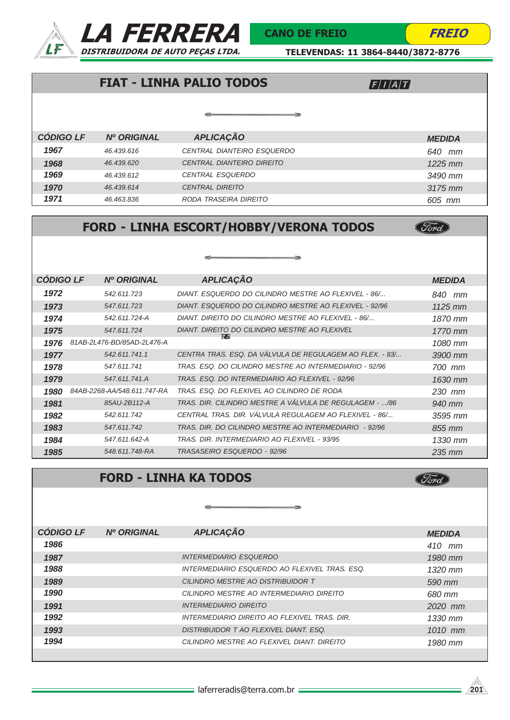



(Ford)

(Ford)

TELEVENDAS: 11 3864-8440/3872-8776

# FIAT - LINHA PALIO TODOS

 $F/I/A/T$ 

|                  |                    | œ                          |               |
|------------------|--------------------|----------------------------|---------------|
| <b>CÓDIGO LF</b> | <b>Nº ORIGINAL</b> | <b>APLICAÇÃO</b>           | <b>MEDIDA</b> |
| 1967             | 46.439.616         | CENTRAL DIANTEIRO ESQUERDO | 640<br>mm     |
| 1968             | 46.439.620         | CENTRAL DIANTEIRO DIREITO  | $1225$ mm     |
| 1969             | 46.439.612         | <b>CENTRAL ESQUERDO</b>    | 3490 mm       |
| 1970             | 46.439.614         | <b>CENTRAL DIREITO</b>     | 3175 mm       |
| 1971             | 46.463.836         | RODA TRASEIRA DIREITO      | 605 mm        |

# FORD - LINHA ESCORT/HOBBY/VERONA TODOS

| <b>CÓDIGO LF</b> | <b>Nº ORIGINAL</b>          | <b>APLICAÇÃO</b>                                         | <b>MEDIDA</b> |
|------------------|-----------------------------|----------------------------------------------------------|---------------|
|                  |                             |                                                          |               |
| 1972             | 542.611.723                 | DIANT. ESQUERDO DO CILINDRO MESTRE AO FLEXIVEL - 86/     | 840 mm        |
| 1973             | 547.611.723                 | DIANT. ESQUERDO DO CILINDRO MESTRE AO FLEXIVEL - 92/96   | $1125$ mm     |
| 1974             | 542.611.724-A               | DIANT. DIREITO DO CILINDRO MESTRE AO FLEXIVEL - 86/      | 1870 mm       |
| 1975             | 547.611.724                 | DIANT. DIREITO DO CILINDRO MESTRE AO FLEXIVEL            | 1770 mm       |
| 1976             | 81AB-2L476-BD/85AD-2L476-A  | 775                                                      | 1080 mm       |
| 1977             | 542.611.741.1               | CENTRA TRAS. ESO. DA VÁLVULA DE REGULAGEM AO FLEX. - 83/ | 3900 mm       |
| 1978             | 547.611.741                 | TRAS. ESO. DO CILINDRO MESTRE AO INTERMEDIARIO - 92/96   | 700 mm        |
| 1979             | 547.611.741.A               | TRAS. ESO. DO INTERMEDIARIO AO FLEXIVEL - 92/96          | 1630 mm       |
| 1980             | 84AB-2268-AA/548.611.747-RA | TRAS. ESQ. DO FLEXIVEL AO CILINDRO DE RODA               | 230 mm        |
| 1981             | 85AU-2B112-A                | TRAS. DIR. CILINDRO MESTRE A VALVULA DE REGULAGEM - /86  | 940 mm        |
| 1982             | 542.611.742                 | CENTRAL TRAS. DIR. VALVULA REGULAGEM AO FLEXIVEL - 86/   | 3595 mm       |
| 1983             | 547.611.742                 | TRAS. DIR. DO CILINDRO MESTRE AO INTERMEDIARIO - 92/96   | 855 mm        |
| 1984             | 547.611.642-A               | TRAS, DIR. INTERMEDIARIO AO FLEXIVEL - 93/95             | $1330$ mm     |
| 1985             | 548.611.748-RA              | TRASASEIRO ESQUERDO - 92/96                              | $235$ mm      |

### FORD - LINHA KA TODOS

| <b>CÓDIGO LF</b> | <b>Nº ORIGINAL</b> | <b>APLICAÇÃO</b>                              | <b>MEDIDA</b> |
|------------------|--------------------|-----------------------------------------------|---------------|
| 1986             |                    |                                               | $410$ mm      |
| 1987             |                    | <i><b>INTERMEDIARIO ESQUERDO</b></i>          | 1980 mm       |
| 1988             |                    | INTERMEDIARIO ESQUERDO AO FLEXIVEL TRAS. ESQ. | $1320$ mm     |
| 1989             |                    | CILINDRO MESTRE AO DISTRIBUIDOR T             | 590 mm        |
| 1990             |                    | CILINDRO MESTRE AO INTERMEDIARIO DIREITO      | 680 mm        |
| 1991             |                    | <b>INTERMEDIARIO DIREITO</b>                  | 2020 mm       |
| 1992             |                    | INTERMEDIARIO DIREITO AO FLEXIVEL TRAS. DIR.  | 1330 mm       |
| 1993             |                    | DISTRIBUIDOR T AO FLEXIVEL DIANT. ESQ.        | $1010$ mm     |
| 1994             |                    | CILINDRO MESTRE AO FLEXIVEL DIANT. DIREITO    | 1980 mm       |
|                  |                    |                                               |               |

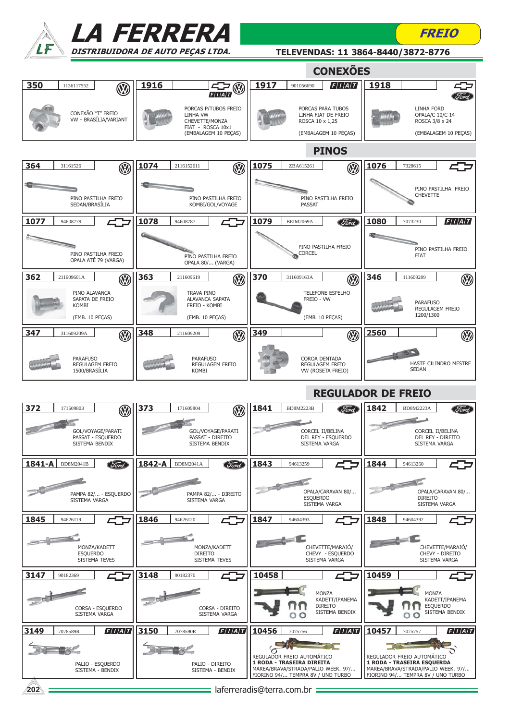|                                                          | <b>LA FERRERA</b>                                                              |                                                                                                                                    | FREIO                                                                                                                               |
|----------------------------------------------------------|--------------------------------------------------------------------------------|------------------------------------------------------------------------------------------------------------------------------------|-------------------------------------------------------------------------------------------------------------------------------------|
|                                                          | DISTRIBUIDORA DE AUTO PEÇAS LTDA.                                              |                                                                                                                                    | TELEVENDAS: 11 3864-8440/3872-8776                                                                                                  |
|                                                          |                                                                                | <b>CONEXÕES</b>                                                                                                                    |                                                                                                                                     |
| 350<br>1136117552<br>(V)                                 | 1916<br>F/I/A/T                                                                | 1917<br>F/I/A/T<br>901056690                                                                                                       | 1918                                                                                                                                |
| CONEXÃO "T" FREIO<br>VW - BRASÍLIA/VARIANT               | PORCAS P/TUBOS FREIO<br><b>LINHA VW</b><br>CHEVETTE/MONZA<br>FIAT - ROSCA 10x1 | PORCAS PARA TUBOS<br>LINHA FIAT DE FREIO<br>ROSCA 10 x 1,25                                                                        | <b>LINHA FORD</b><br>OPALA/C-10/C-14<br>ROSCA 3/8 x 24                                                                              |
|                                                          | (EMBALAGEM 10 PEÇAS)                                                           | (EMBALAGEM 10 PEÇAS)<br><b>PINOS</b>                                                                                               | (EMBALAGEM 10 PECAS)                                                                                                                |
| 364<br>31161526<br>$\mathbb{Q}$                          | 1074<br>2116152611<br>$\circledR$                                              | 1075<br>ZBA615261<br>$\circledR$                                                                                                   | 1076<br>7328615                                                                                                                     |
|                                                          |                                                                                |                                                                                                                                    |                                                                                                                                     |
| PINO PASTILHA FREIO<br>SEDAN/BRASÍLIA                    | PINO PASTILHA FREIO<br>KOMBI/GOL/VOYAGE                                        | PINO PASTILHA FREIO<br><b>PASSAT</b>                                                                                               | PINO PASTILHA FREIO<br><b>CHEVETTE</b>                                                                                              |
| 1077<br>94608779                                         | 1078<br>94608787                                                               | 1079<br>BEIM2069A<br>Ford                                                                                                          | F/I/A/T<br>1080<br>7073230                                                                                                          |
| PINO PASTILHA FREIO<br>OPALA ATÉ 79 (VARGA)              | PINO PASTILHA FREIO<br>OPALA 80/ (VARGA)                                       | PINO PASTILHA FREIO<br><b>CORCEL</b>                                                                                               | PINO PASTILHA FREIO<br><b>FIAT</b>                                                                                                  |
| 362<br>$\circledR$<br>211609601A                         | 363<br>$\circledR$<br>211609619                                                | 370<br>$\circledR$<br>311609163A                                                                                                   | 346<br>$\circledR$<br>111609209                                                                                                     |
| PINO ALAVANCA<br>SAPATA DE FREIO<br><b>KOMBI</b>         | TRAVA PINO<br><b>ALAVANCA SAPATA</b><br>FREIO - KOMBI                          | TELEFONE ESPELHO<br>FREIO - VW                                                                                                     | <b>PARAFUSO</b><br><b>REGULAGEM FREIO</b>                                                                                           |
| (EMB. 10 PEÇAS)                                          | (EMB. 10 PEÇAS)                                                                | (EMB. 10 PEÇAS)                                                                                                                    | 1200/1300                                                                                                                           |
| 347<br>Ø<br>311609209A                                   | 348<br>$\circledR$<br>211609209                                                | 349<br>$\circledR$                                                                                                                 | 2560<br><b>V</b>                                                                                                                    |
| <b>PARAFUSO</b><br>REGULAGEM FREIO<br>1500/BRASİLIA      | <b>PARAFUSO</b><br>REGULAGEM FREIO<br><b>KOMBI</b>                             | COROA DENTADA<br>REGULAGEM FREIO<br>VW (ROSETA FREIO)                                                                              | HASTE CILINDRO MESTRE<br><b>SEDAN</b>                                                                                               |
|                                                          |                                                                                |                                                                                                                                    | <b>REGULADOR DE FREIO</b>                                                                                                           |
| 372<br>171609803<br>$\mathbb{W}$                         | ত্ৰী $\overline{373}$<br>171609804                                             | 1841<br><b>BD8M2223B</b>                                                                                                           | 1842<br>BD8M2223A<br><i>Sord</i>                                                                                                    |
| GOL/VOYAGE/PARATI<br>PASSAT - ESQUERDO<br>SISTEMA BENDIX | GOL/VOYAGE/PARATI<br>PASSAT - DIREITO<br>SISTEMA BENDIX                        | CORCEL II/BELINA<br>DEL REY - ESQUERDO<br>SISTEMA VARGA                                                                            | CORCEL II/BELINA<br>DEL REY - DIREITO<br>SISTEMA VARGA                                                                              |
| 1841-A<br>BD8M2041B<br><b>Ford</b>                       | 1842-A<br><b>Ford</b><br>BD8M2041A                                             | 1843<br>94613259                                                                                                                   | 1844<br>94613260                                                                                                                    |
| PAMPA 82/ - ESQUERDO<br>SISTEMA VARGA                    | PAMPA 82/ - DIREITO<br>SISTEMA VARGA                                           | OPALA/CARAVAN 80/<br><b>ESQUERDO</b><br>SISTEMA VARGA                                                                              | OPALA/CARAVAN 80/<br><b>DIREITO</b><br>SISTEMA VARGA                                                                                |
| 1845<br>94626119                                         | 1846<br>94626120                                                               | 1847<br>94604393                                                                                                                   | 1848<br>94604392                                                                                                                    |
| MONZA/KADETT<br><b>ESQUERDO</b><br>SISTEMA TEVES         | MONZA/KADETT<br><b>DIREITO</b><br>SISTEMA TEVES                                | CHEVETTE/MARAJÓ/<br>CHEVY - ESQUERDO<br>SISTEMA VARGA                                                                              | CHEVETTE/MARAJÓ/<br>CHEVY - DIREITO<br>SISTEMA VARGA                                                                                |
| 3147<br>90182369                                         | 3148<br>90182370                                                               | 10458                                                                                                                              | 10459                                                                                                                               |
| CORSA - ESQUERDO<br>SISTEMA VARGA                        | CORSA - DIREITO<br>SISTEMA VARGA                                               | <b>MONZA</b><br>KADETT/IPANEMA<br><b>DIREITO</b><br>SISTEMA BENDIX<br>00                                                           | <b>MONZA</b><br>KADETT/IPANEMA<br><b>ESQUERDO</b><br>SISTEMA BENDIX<br>$\circ$<br>O                                                 |
| F/I/A/T<br>3149<br>7078589R                              | F/I/A/T<br>3150<br>7078590R                                                    | F/I/A/T<br>10456<br>7075756                                                                                                        | $\left F\right I\left A\right T$<br>10457<br>7075757                                                                                |
| PALIO - ESQUERDO<br>SISTEMA - BENDIX                     | PALIO - DIREITO<br>SISTEMA - BENDIX                                            | REGULADOR FREIO AUTOMÁTICO<br>1 RODA - TRASEIRA DIREITA<br>MAREA/BRAVA/STRADA/PALIO WEEK. 97/<br>FIORINO 94/ TEMPRA 8V / UNO TURBO | REGULADOR FREIO AUTOMÁTICO<br>1 RODA - TRASEIRA ESQUERDA<br>MAREA/BRAVA/STRADA/PALIO WEEK. 97/<br>FIORINO 94/ TEMPRA 8V / UNO TURBO |
| 202                                                      |                                                                                | laferreradis@terra.com.br =                                                                                                        |                                                                                                                                     |

b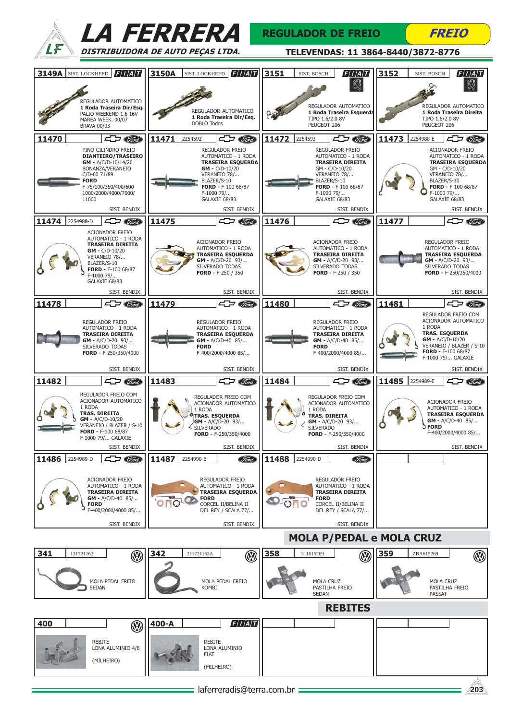



### REGULADOR DE FREIO

**FREIO** 

| <b>3149A SIST. LOCKHEED FIAT</b>                                       | 3150A<br>F/I/A/T<br>SIST. LOCKHEED                                                | 3151<br> F I A T <br><b>SIST. BOSCH</b>                                       | 3152<br>F/I/A/T<br><b>SIST. BOSCH</b>                                        |
|------------------------------------------------------------------------|-----------------------------------------------------------------------------------|-------------------------------------------------------------------------------|------------------------------------------------------------------------------|
|                                                                        |                                                                                   | Ŋ                                                                             |                                                                              |
| REGULADOR AUTOMATICO<br>1 Roda Traseira Dir/Esq.                       |                                                                                   | REGULADOR AUTOMATICO                                                          | REGULADOR AUTOMATICO                                                         |
| PALIO WEEKEND 1.6 16V<br>MAREA WEEK. 00/07                             | REGULADOR AUTOMATICO<br>1 Roda Traseira Dir/Esq.<br><b>DOBLO Todos</b>            | 1 Roda Traseira Esquerda<br>TIPO 1.6/2.0 8V<br>PEUGEOT 206                    | 1 Roda Traseira Direita<br>TIPO 1.6/2.0 8V<br>PEUGEOT 206                    |
| <b>BRAVA 00/03</b><br>11470<br>$\sqrt{1-\sqrt{1-\frac{1}{2}}}$         | $\sqrt{1-\frac{1}{2}}$<br>11471<br>2254592                                        | $\sqrt{1-\sqrt{1-\frac{1}{2}}}$<br>11472<br>2254593                           | 11473 2254988-E<br>$\leftarrow$ $\rightarrow$ $\mathcal{C}$ or $\rightarrow$ |
| PINO CILINDRO FREIO                                                    | REGULADOR FREIO                                                                   | <b>REGULADOR FREIO</b>                                                        | ACIONADOR FREIO                                                              |
| <b>DIANTEIRO/TRASEIRO</b><br>$GM - A/C/D-10/14/20$<br>BONANZA/VERANEIO | AUTOMATICO - 1 RODA<br><b>TRASEIRA ESQUERDA</b><br>$GM - C/D-10/20$               | AUTOMATICO - 1 RODA<br><b>TRASEIRA DIREITA</b><br>GM - C/D-10/20              | AUTOMATICO - 1 RODA<br><b>TRASEIRA ESQUERDA</b><br>GM - C/D-10/20            |
| C/D-60 71/89<br><b>FORD</b>                                            | VERANEIO 78/<br>BLAZER/S-10                                                       | VERANEIO 78/<br>BLAZER/S-10                                                   | VERANEIO 78/<br>BLAZER/S-10                                                  |
| F-75/100/350/400/600<br>1000/2000/4000/7000/<br>11000                  | FORD - F-100 68/87<br>F-1000 79/<br>GALAXIE 68/83                                 | FORD - F-100 68/87<br>F-1000 79/<br>GALAXIE 68/83                             | FORD - F-100 68/87<br>F-1000 79/<br>GALAXIE 68/83                            |
| SIST. BENDIX                                                           | SIST. BENDIX                                                                      | SIST. BENDIX                                                                  | SIST. BENDIX                                                                 |
| $\sqrt{1-\frac{1}{2}}$<br>11474 2254988-D                              | $\sqrt{1-\sqrt{1-\frac{1}{2}}}$<br>11475                                          | 11476<br>$\Box$ $\Box$                                                        | 11477<br>$\Box$ Tord                                                         |
| ACIONADOR FREIO<br>AUTOMATICO - 1 RODA<br><b>TRASEIRA DIREITA</b>      | <b>ACIONADOR FREIO</b>                                                            | <b>ACIONADOR FREIO</b>                                                        | REGULADOR FREIO                                                              |
| $GM - C/D - 10/20$<br>VERANEIO 78/                                     | AUTOMATICO - 1 RODA<br><b>TRASEIRA ESQUERDA</b><br>GM - A/C/D-20 93/              | AUTOMATICO - 1 RODA<br><b>TRASEIRA DIREITA</b><br>$GM - A/C/D-20$ 93/         | AUTOMATICO - 1 RODA<br><b>TRASEIRA ESQUERDA</b><br>GM - A/C/D-20 93/         |
| BLAZER/S-10<br>FORD - F-100 68/87<br>F-1000 79/                        | SILVERADO TODAS<br>FORD - $F-250 / 350$                                           | SILVERADO TODAS<br>FORD - F-250 / 350                                         | SILVERADO TODAS<br>FORD - F-250/350/4000                                     |
| GALAXIE 68/83                                                          |                                                                                   |                                                                               |                                                                              |
| SIST. BENDIX<br>$\Box$ $\Box$<br>11478                                 | SIST. BENDIX<br>$\Box$ $\Box$<br>11479                                            | SIST. BENDIX<br>$\leftarrow$ $\rightarrow$ $\sigma$<br>11480                  | SIST. BENDIX<br>11481<br>$\Box$ $\Box$                                       |
| REGULADOR FREIO                                                        | REGULADOR FREIO                                                                   | REGULADOR FREIO                                                               | REGULADOR FREIO COM<br>ACIONADOR AUTOMATICO                                  |
| AUTOMATICO - 1 RODA<br><b>TRASEIRA DIREITA</b>                         | AUTOMATICO - 1 RODA<br><b>TRASEIRA ESQUERDA</b>                                   | AUTOMATICO - 1 RODA<br><b>TRASEIRA DIREITA</b>                                | 1 RODA<br><b>TRAS. ESQUERDA</b>                                              |
| $GM - A/C/D - 20$ 93/<br>SILVERADO TODAS                               | GM - A/C/D-40 85/<br><b>FORD</b>                                                  | $GM - A/C/D-40$ 85/<br><b>FORD</b>                                            | $GM - A/C/D-10/20$<br>VERANEIO / BLAZER / S-10<br>FORD - F-100 68/87         |
| FORD - F-250/350/4000                                                  | F-400/2000/4000 85/                                                               | F-400/2000/4000 85/                                                           | F-1000 79/ GALAXIE                                                           |
| SIST. BENDIX<br>11482<br>47<br>(Ford)                                  | SIST. BENDIX<br>$\leftarrow$ $\rightarrow$ $\sigma$<br>11483                      | SIST. BENDIX<br>$\sqrt{1-\sqrt{1-\frac{1}{2}}}$<br>11484                      | SIST. BENDIX<br>11485<br>2254989-E<br>c<br>(Tord)                            |
| REGULADOR FREIO COM                                                    | REGULADOR FREIO COM                                                               | REGULADOR FREIO COM                                                           |                                                                              |
| ACIONADOR AUTOMATICO<br>1 RODA<br>TRAS. DIREITA                        | ACIONADOR AUTOMATICO<br>1 RODA                                                    | ACIONADOR AUTOMATICO<br>1 RODA                                                | <b>ACIONADOR FREIO</b><br>AUTOMATICO - 1 RODA                                |
| $GM - A/C/D-10/20$<br>VERANEIO / BLAZER / S-10                         | <b>TRAS. ESOUERDA</b><br>$GM - A/C/D-20$ 93/<br><b>SILVERADO</b>                  | <b>TRAS. DIREITA</b><br>GM - A/C/D-20 93/<br><b>SILVERADO</b>                 | <b>TRASEIRA ESQUERDA</b><br>$GM - A/C/D-40$ 85/<br><b>FORD</b>               |
| FORD - F-100 68/87<br>F-1000 79/ GALAXIE                               | FORD - F-250/350/4000                                                             | FORD - $F-250/350/4000$                                                       | F-400/2000/4000 85/                                                          |
| SIST. BENDIX<br>11486<br>2254989-D<br>Ford                             | SIST. BENDIX<br>11487<br>2254990-E<br>Ford                                        | SIST. BENDIX<br>11488<br>2254990-D<br><b>Ford</b>                             | SIST. BENDIX                                                                 |
|                                                                        |                                                                                   |                                                                               |                                                                              |
| <b>ACIONADOR FREIO</b><br>AUTOMATICO - 1 RODA                          | REGULADOR FREIO<br>AUTOMATICO - 1 RODA                                            | <b>REGULADOR FREIO</b><br>AUTOMATICO - 1 RODA                                 |                                                                              |
| <b>TRASEIRA DIREITA</b><br>GM - A/C/D-40 85/<br><b>FORD</b>            | <b>TRASEIRA ESQUERDA</b><br><b>FORD</b><br>O <sub>LO</sub><br>CORCEL II/BELINA II | <b>TRASEIRA DIREITA</b><br><b>FORD</b><br><b>PO TO</b><br>CORCEL II/BELINA II |                                                                              |
| F-400/2000/4000 85/                                                    | DEL REY / SCALA 77/                                                               | DEL REY / SCALA 77/                                                           |                                                                              |
| SIST. BENDIX                                                           | SIST. BENDIX                                                                      | SIST. BENDIX                                                                  |                                                                              |
|                                                                        |                                                                                   | <b>MOLA P/PEDAL e MOLA CRUZ</b>                                               |                                                                              |
| 341<br>131721163<br>Ø                                                  | 342<br>211721163A<br>$\circledR$                                                  | 358<br>311615269<br>$\circledR$                                               | 359<br>☜<br>ZBA615269                                                        |
| MOLA PEDAL FREIO                                                       | MOLA PEDAL FREIO                                                                  | <b>MOLA CRUZ</b>                                                              | <b>MOLA CRUZ</b>                                                             |
| <b>SEDAN</b>                                                           | KOMBI                                                                             | PASTILHA FREIO<br><b>SEDAN</b>                                                | PASTILHA FREIO<br><b>PASSAT</b>                                              |
|                                                                        |                                                                                   | <b>REBITES</b>                                                                |                                                                              |
| 400<br>$\circledR$                                                     | F/I/A/T<br>400-A                                                                  |                                                                               |                                                                              |
| REBITE                                                                 | <b>REBITE</b>                                                                     |                                                                               |                                                                              |
| LONA ALUMINIO 4/6<br>(MILHEIRO)                                        | LONA ALUMINIO<br>FIAT                                                             |                                                                               |                                                                              |
|                                                                        | (MILHEIRO)                                                                        |                                                                               |                                                                              |
|                                                                        | laferreradis@terra.com.br                                                         |                                                                               | 203                                                                          |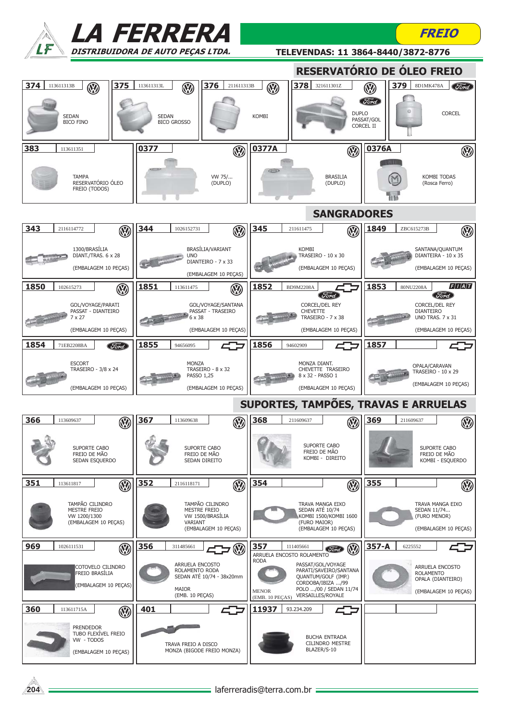|                                                                                  | <i><b>LA FERRERA</b></i>                                                                          |                                                                                                                                                                                           | FREIO                                                                                                |
|----------------------------------------------------------------------------------|---------------------------------------------------------------------------------------------------|-------------------------------------------------------------------------------------------------------------------------------------------------------------------------------------------|------------------------------------------------------------------------------------------------------|
|                                                                                  | DISTRIBUIDORA DE AUTO PECAS LTDA.                                                                 |                                                                                                                                                                                           | TELEVENDAS: 11 3864-8440/3872-8776                                                                   |
|                                                                                  |                                                                                                   |                                                                                                                                                                                           | RESERVATÓRIO DE ÓLEO FREIO                                                                           |
| 374<br>375<br>$\circledR$<br>113611313B<br><b>SEDAN</b><br><b>BICO FINO</b>      | 376<br>211611313B<br>113611313L<br>$\circledR$<br><b>SEDAN</b><br><b>BICO GROSSO</b>              | 378<br>321611301Z<br>$\circledR$<br><b>DUPLO</b><br><b>KOMBI</b>                                                                                                                          | 379<br>8D1MK478A<br>(Ford)<br>$\circledR$<br>Ford<br><b>CORCEL</b><br>PASSAT/GOL<br><b>CORCEL II</b> |
| 383<br>113611351                                                                 | 0377<br><b>V</b>                                                                                  | 0377A<br>$\circledR$                                                                                                                                                                      | 0376A<br>$\circledR$                                                                                 |
| <b>TAMPA</b><br>RESERVATÓRIO ÓLEO<br>FREIO (TODOS)                               | VW 75/<br>(DUPLO)                                                                                 | <b>BRASILIA</b><br>(DUPLO)                                                                                                                                                                | <b>KOMBI TODAS</b><br>(Rosca Ferro)<br><b>TETO</b>                                                   |
|                                                                                  |                                                                                                   | <b>SANGRADORES</b>                                                                                                                                                                        |                                                                                                      |
| 343<br>2116114772<br>$\mathbb{Q}$                                                | 344<br>1026152731<br>$\mathbb{Q}$                                                                 | 345<br>211611475<br>$\mathbb{Q}$                                                                                                                                                          | 1849<br>ZBC615273B<br>$\circledR$                                                                    |
| 1300/BRASÍLIA<br>DIANT./TRAS. 6 x 28<br>(EMBALAGEM 10 PECAS)                     | BRASÍLIA/VARIANT<br><b>UNO</b><br>DIANTEIRO - 7 x 33<br>(EMBALAGEM 10 PEÇAS)                      | <b>KOMBI</b><br>TRASEIRO - 10 x 30<br>(EMBALAGEM 10 PEÇAS)                                                                                                                                | SANTANA/QUANTUM<br>DIANTEIRA - 10 x 35<br>(EMBALAGEM 10 PEÇAS)                                       |
| 1850<br>$\circledR$<br>102615273                                                 | 1851<br>$\circledR$<br>113611475                                                                  | 1852<br>BD9M2208A<br>"Görd                                                                                                                                                                | F/I/A/T<br>1853<br>80NU2208A<br><b>Ford</b>                                                          |
| GOL/VOYAGE/PARATI<br>PASSAT - DIANTEIRO<br>$7 \times 27$<br>(EMBALAGEM 10 PEÇAS) | GOL/VOYAGE/SANTANA<br>PASSAT - TRASEIRO<br>6 x 38<br>(EMBALAGEM 10 PEÇAS)                         | <b>CORCEL/DEL REY</b><br><b>CHEVETTE</b><br>TRASEIRO - 7 x 38<br>(EMBALAGEM 10 PEÇAS)                                                                                                     | <b>CORCEL/DEL REY</b><br><b>DIANTEIRO</b><br><b>UNO TRAS. 7 x 31</b><br>(EMBALAGEM 10 PEÇAS)         |
| 1854<br>71EB2208BA<br>Ford                                                       | 1855<br>94656095                                                                                  | 1856<br>94602909                                                                                                                                                                          | 1857                                                                                                 |
| <b>ESCORT</b><br>TRASEIRO - 3/8 x 24<br>(EMBALAGEM 10 PECAS)                     | <b>MONZA</b><br>TRASEIRO - 8 x 32<br>PASSO 1,25<br>(EMBALAGEM 10 PECAS)                           | MONZA DIANT.<br>CHEVETTE TRASEIRO<br>8 x 32 - PASSO 1<br>(EMBALAGEM 10 PEÇAS)                                                                                                             | OPALA/CARAVAN<br>TRASEIRO - 10 x 29<br>(EMBALAGEM 10 PECAS)                                          |
|                                                                                  |                                                                                                   | SUPORTES, TAMPÕES, TRAVAS E ARRUELAS                                                                                                                                                      |                                                                                                      |
| 366<br>113609637<br>$\mathbb{Q}$                                                 | 367<br>$\circledR$<br>113609638                                                                   | 368<br>211609637<br>$\mathbb{Q}$                                                                                                                                                          | 369<br>211609637<br>$\circledR$                                                                      |
| SUPORTE CABO<br>FREIO DE MÃO<br>SEDAN ESQUERDO                                   | SUPORTE CABO<br>FREIO DE MÃO<br>SEDAN DIREITO                                                     | SUPORTE CABO<br>FREIO DE MÃO<br>KOMBI - DIREITO                                                                                                                                           | SUPORTE CABO<br>FREIO DE MÃO<br>KOMBI - ESQUERDO                                                     |
| 351<br>Ø<br>113611817                                                            | 352<br>$\circledR$<br>2116118171                                                                  | 354<br>$\circledR$                                                                                                                                                                        | 355<br>$\circledR$                                                                                   |
| TAMPÃO CILINDRO<br><b>MESTRE FREIO</b><br>VW 1200/1300<br>(EMBALAGEM 10 PECAS)   | TAMPÃO CILINDRO<br><b>MESTRE FREIO</b><br>VW 1500/BRASÍLIA<br>VARIANT<br>(EMBALAGEM 10 PEÇAS)     | TRAVA MANGA EIXO<br>SEDAN ATÉ 10/74<br>KOMBI 1500/KOMBI 1600<br>(FURO MAIOR)<br>(EMBALAGEM 10 PECAS)                                                                                      | TRAVA MANGA EIXO<br>SEDAN 11/74<br>(FURO MENOR)<br>(EMBALAGEM 10 PECAS)                              |
| 969<br>$\circledR$<br>1026111531                                                 | 356<br>311485661<br>W                                                                             | 357<br>111405661<br>Ø<br><i>Ford</i><br>ARRUELA ENCOSTO ROLAMENTO                                                                                                                         | $357-A$<br>6225552                                                                                   |
| COTOVELO CILINDRO<br>FREIO BRASÍLIA<br>(EMBALAGEM 10 PEÇAS)                      | ARRUELA ENCOSTO<br>ROLAMENTO RODA<br>SEDAN ATÉ 10/74 - 38x20mm<br><b>MAIOR</b><br>(EMB. 10 PEÇAS) | <b>RODA</b><br>PASSAT/GOL/VOYAGE<br>PARATI/SAVEIRO/SANTANA<br>QUANTUM/GOLF (IMP.)<br>CORDOBA/IBIZA /99<br>POLO  /00 / SEDAN 11/74<br><b>MENOR</b><br>VERSAILLES/ROYALE<br>(EMB. 10 PEÇAS) | ARRUELA ENCOSTO<br><b>ROLAMENTO</b><br>OPALA (DIANTEIRO)<br>(EMBALAGEM 10 PEÇAS)                     |
| 360<br>Ø<br>113611715A                                                           | 40<br>401                                                                                         | 11937<br>93.234.209                                                                                                                                                                       |                                                                                                      |
| <b>PRENDEDOR</b><br>TUBO FLEXÍVEL FREIO<br>VW - TODOS<br>(EMBALAGEM 10 PEÇAS)    | TRAVA FREIO A DISCO<br>MONZA (BIGODE FREIO MONZA)                                                 | <b>BUCHA ENTRADA</b><br>CILINDRO MESTRE<br>BLAZER/S-10                                                                                                                                    |                                                                                                      |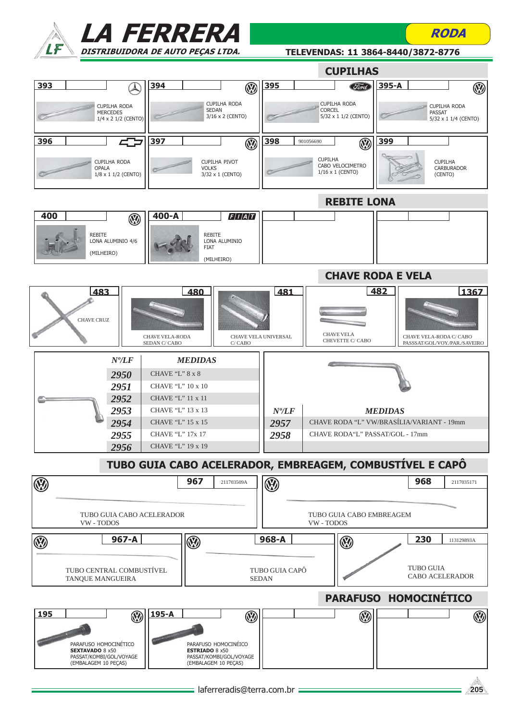



TELEVENDAS: 11 3864-8440/3872-8776

RODA

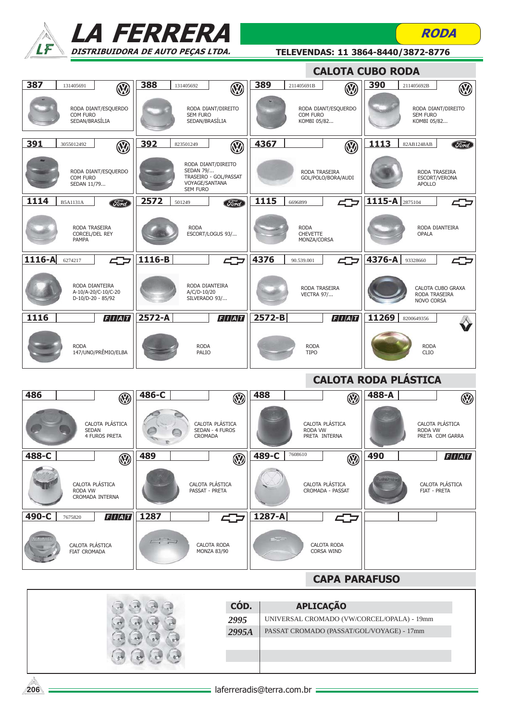



TELEVENDAS: 11 3864-8440/3872-8776

**RODA** 

|        |                                                            |                      |                                                |                                             |        |                                                                | <b>CALOTA CUBO RODA</b> |                  |                             |                                    |
|--------|------------------------------------------------------------|----------------------|------------------------------------------------|---------------------------------------------|--------|----------------------------------------------------------------|-------------------------|------------------|-----------------------------|------------------------------------|
| 387    | 131405691                                                  | 388<br>$\mathbf{W}$  | 131405692                                      | <b>V</b>                                    | 389    | 211405691B                                                     | $\mathbf \Omega$        | 390              | 211405692B                  | $\circledR$                        |
|        | RODA DIANT/ESQUERDO<br>COM FURO<br>SEDAN/BRASÍLIA          |                      | SEM FURO<br>SEDAN/BRASÍLIA                     | RODA DIANT/DIREITO                          |        | RODA DIANT/ESQUERDO<br>COM FURO<br>KOMBI 05/82                 |                         |                  | SEM FURO<br>KOMBI 05/82     | RODA DIANT/DIREITO                 |
| 391    | 3055012492                                                 | 392<br>$\mathbb{Q}$  | 823501249                                      | $\circledR$                                 | 4367   |                                                                | $\circledR$             | 1113             | 82AB1248AB                  | Ford                               |
|        | RODA DIANT/ESQUERDO<br>COM FURO<br>SEDAN 11/79             |                      | SEDAN 79/<br>VOYAGE/SANTANA<br><b>SEM FURO</b> | RODA DIANT/DIREITO<br>TRASEIRO - GOL/PASSAT |        | RODA TRASEIRA<br>GOL/POLO/BORA/AUDI                            |                         |                  | <b>APOLLO</b>               | RODA TRASEIRA<br>ESCORT/VERONA     |
| 1114   | Ford<br><b>B5A1131A</b>                                    | 2572                 | 501249                                         | Ford                                        | 1115   | 6696899                                                        |                         | 1115-A $2875104$ |                             |                                    |
|        | RODA TRASEIRA<br><b>CORCEL/DEL REY</b><br>PAMPA            |                      | <b>RODA</b>                                    | ESCORT/LOGUS 93/                            |        | <b>RODA</b><br><b>CHEVETTE</b><br>MONZA/CORSA                  |                         |                  | <b>OPALA</b>                | RODA DIANTEIRA                     |
| 1116-A | 427<br>6274217                                             | 1116-B               |                                                | 402                                         | 4376   | 90.539.001                                                     | 47                      | 4376-A           | 93328660                    |                                    |
|        | RODA DIANTEIRA<br>A-10/A-20/C-10/C-20<br>D-10/D-20 - 85/92 |                      | RODA DIANTEIRA<br>A/C/D-10/20<br>SILVERADO 93/ |                                             |        | RODA TRASEIRA<br><b>VECTRA 97/</b>                             |                         |                  | NOVO CORSA                  | CALOTA CUBO GRAXA<br>RODA TRASEIRA |
| $1116$ | F/I/A/T                                                    | 2572-A               |                                                | F/I/A/T                                     | 2572-B |                                                                | F/I/A/T                 | 11269            | 8200649356                  |                                    |
|        | <b>RODA</b><br>147/UNO/PRÊMIO/ELBA                         |                      | <b>RODA</b><br>PALIO                           |                                             |        | <b>RODA</b><br><b>TIPO</b>                                     |                         |                  | <b>RODA</b><br><b>CLIO</b>  |                                    |
|        |                                                            |                      |                                                |                                             |        |                                                                |                         |                  |                             |                                    |
|        |                                                            |                      |                                                |                                             |        |                                                                |                         |                  | <b>CALOTA RODA PLÁSTICA</b> |                                    |
| 486    |                                                            | 486-C<br>$\circledR$ |                                                | $\circledR$                                 | 488    |                                                                | $\circledR$             | 488-A            |                             | $\circledR$                        |
|        | CALOTA PLÁSTICA<br><b>SEDAN</b><br><b>4 FUROS PRETA</b>    |                      | <b>CROMADA</b>                                 | CALOTA PLÁSTICA<br>SEDAN - 4 FUROS          |        | CALOTA PLÁSTICA<br>RODA VW<br>PRETA INTERNA                    |                         |                  | RODA VW                     | CALOTA PLÁSTICA<br>PRETA COM GARRA |
| 488-C  |                                                            | 489<br>Ø             |                                                | $\circledR$                                 | 489-C  | 7608610                                                        | $\circledR$             | 490              |                             | F/I/A/T                            |
|        | CALOTA PLÁSTICA<br>RODA VW<br>CROMADA INTERNA              |                      | PASSAT - PRETA                                 | CALOTA PLÁSTICA                             |        | CALOTA PLÁSTICA<br>CROMADA - PASSAT                            |                         |                  |                             | CALOTA PLÁSTICA<br>FIAT - PRETA    |
| 490-C  | F/I/A/T<br>7675820                                         | 1287                 |                                                | 47                                          | 1287-A |                                                                | 45                      |                  |                             |                                    |
|        | CALOTA PLÁSTICA<br>FIAT CROMADA                            |                      | $\overline{\phantom{a}}$                       | CALOTA RODA<br><b>MONZA 83/90</b>           |        | <b>CALOTA RODA</b><br>CORSA WIND                               |                         |                  |                             |                                    |
|        |                                                            |                      |                                                |                                             |        |                                                                | <b>CAPA PARAFUSO</b>    |                  |                             |                                    |
|        |                                                            |                      |                                                |                                             |        |                                                                |                         |                  |                             |                                    |
|        |                                                            |                      |                                                | CÓD.<br>2995                                |        | <b>APLICAÇÃO</b><br>UNIVERSAL CROMADO (VW/CORCEL/OPALA) - 19mm |                         |                  |                             |                                    |
|        |                                                            |                      |                                                | 2995A                                       |        | PASSAT CROMADO (PASSAT/GOL/VOYAGE) - 17mm                      |                         |                  |                             |                                    |
|        |                                                            |                      |                                                |                                             |        |                                                                |                         |                  |                             |                                    |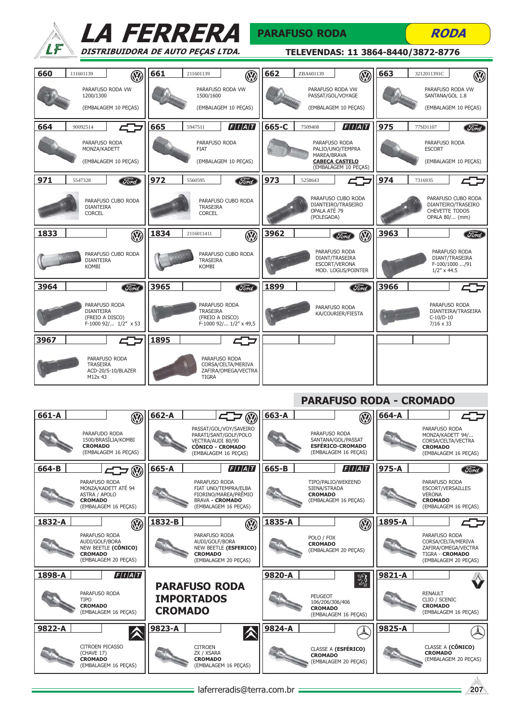|                                                                              | <i><b>LA FERRERA</b></i>                                                      | <b>PARAFUSO RODA</b>                                                   | <b>RODA</b>                                                                  |
|------------------------------------------------------------------------------|-------------------------------------------------------------------------------|------------------------------------------------------------------------|------------------------------------------------------------------------------|
|                                                                              | DISTRIBUIDORA DE AUTO PECAS LTDA.                                             | TELEVENDAS: 11 3864-8440/3872-8776                                     |                                                                              |
| 660<br>111601139<br>$\mathbb{Q}$                                             | 661<br>211601139<br>$\mathbb{Q}$                                              | 662<br>ZBA601139                                                       | 663<br>3212011391C<br>$\mathbf{W}$                                           |
| PARAFUSO RODA VW<br>1200/1300<br>(EMBALAGEM 10 PECAS)                        | PARAFUSO RODA VW<br>1500/1600<br>(EMBALAGEM 10 PECAS)                         | PARAFUSO RODA VW<br>PASSAT/GOL/VOYAGE<br>(EMBALAGEM 10 PECAS)          | PARAFUSO RODA VW<br>SANTANA/GOL 1.8<br>(EMBALAGEM 10 PECAS)                  |
| 664<br>90092514                                                              | F/I/A/T<br>665<br>5947511                                                     | F/I/A/T<br>665-C<br>7509408                                            | 975<br><b>Ford</b><br>77SD1107                                               |
| PARAFUSO RODA<br>MONZA/KADETT                                                | PARAFUSO RODA<br><b>FIAT</b>                                                  | PARAFUSO RODA<br>PALIO/UNO/TEMPRA<br>MAREA/BRAVA                       | PARAFUSO RODA<br><b>ESCORT</b>                                               |
| (EMBALAGEM 10 PEÇAS)                                                         | (EMBALAGEM 10 PEÇAS)                                                          | <b>CABECA CASTELO</b><br>(EMBALAGEM 10 PECAS)                          | (EMBALAGEM 10 PEÇAS)                                                         |
| 971<br>5547328<br><b>Ford</b>                                                | 972<br>5560595<br>Ford                                                        | 973<br>5258643                                                         | 974<br>7316935                                                               |
| PARAFUSO CUBO RODA<br><b>DIANTEIRA</b><br><b>CORCEL</b>                      | PARAFUSO CUBO RODA<br><b>TRASEIRA</b><br><b>CORCEL</b>                        | PARAFUSO CUBO RODA<br>DIANTEIRO/TRASEIRO<br>OPALA ATÉ 79<br>(POLEGADA) | PARAFUSO CUBO RODA<br>DIANTEIRO/TRASEIRO<br>CHEVETTE TODOS<br>OPALA 80/ (mm) |
| 1833<br>$\circledR$                                                          | 1834<br>2116011411<br>$\circledR$                                             | 3962<br>$\circledR$<br>Ford                                            | 3963<br>Ford                                                                 |
| PARAFUSO CUBO RODA<br><b>DIANTEIRA</b><br><b>KOMBI</b>                       | PARAFUSO CUBO RODA<br>TRASEIRA<br><b>KOMBI</b>                                | PARAFUSO RODA<br>DIANT/TRASEIRA<br>ESCORT/VERONA<br>MOD. LOGUS/POINTER | PARAFUSO RODA<br>DIANT/TRASEIRA<br>F-100/1000 /91<br>$1/2''$ x 44.5          |
| 3964<br><b>Ford</b>                                                          | 3965<br>Ford                                                                  | 1899<br><b>Ford</b>                                                    | 3966                                                                         |
| PARAFUSO RODA<br><b>DIANTEIRA</b><br>(FREIO A DISCO)<br>F-1000 92/ 1/2" x 53 | PARAFUSO RODA<br><b>TRASEIRA</b><br>(FREIO A DISCO)<br>F-1000 92/ 1/2" x 49,5 | PARAFUSO RODA<br>KA/COURIER/FIESTA                                     | PARAFUSO RODA<br>DIANTEIRA/TRASEIRA<br>C-10/D-10<br>$7/16 \times 33$         |
| 3967                                                                         | 1895<br>≎                                                                     |                                                                        |                                                                              |
| PARAFUSO RODA<br><b>TRASEIRA</b><br>ACD-20/S-10/BLAZER<br>M12x 43            | PARAFUSO RODA<br>CORSA/CELTA/MERIVA<br>ZAFIRA/OMEGA/VECTRA<br><b>TIGRA</b>    |                                                                        |                                                                              |

# PARAFUSO RODA - CROMADO

| 661-A  | $\mathcal{R}$                                                                                    | 662-A<br><b>B</b><br>52                                                                                                 | 663-A<br>$\circledR$                                                                   | 664-A                                                                                                 |
|--------|--------------------------------------------------------------------------------------------------|-------------------------------------------------------------------------------------------------------------------------|----------------------------------------------------------------------------------------|-------------------------------------------------------------------------------------------------------|
|        | PARAFUDO RODA<br>1500/BRASÍLIA/KOMBI<br><b>CROMADO</b><br>(EMBALAGEM 16 PECAS)                   | PASSAT/GOL/VOY/SAVEIRO<br>PARATI/SANT/GOLF/POLO<br>VECTRA/AUDI 80/90<br><b>CÔNICO - CROMADO</b><br>(EMBALAGEM 16 PECAS) | PARAFUSO RODA<br>SANTANA/GOL/PASSAT<br><b>ESFÉRICO-CROMADO</b><br>(EMBALAGEM 16 PECAS) | PARAFUSO RODA<br>MONZA/KADETT 94/<br>CORSA/CELTA/VECTRA<br><b>CROMADO</b><br>(EMBALAGEM 16 PECAS)     |
| 664-B  | $\circledR$<br>47                                                                                | F/I/A/T<br>665-A                                                                                                        | F/I/A/T<br>665-B                                                                       | 975-A<br>Ford                                                                                         |
|        | PARAFUSO RODA<br>MONZA/KADETT ATÉ 94<br>ASTRA / APOLO<br><b>CROMADO</b><br>(EMBALAGEM 16 PECAS)  | PARAFUSO RODA<br>FIAT UNO/TEMPRA/ELBA<br>FIORINO/MAREA/PRÊMIO<br><b>BRAVA - CROMADO</b><br>(EMBALAGEM 16 PECAS)         | TIPO/PALIO/WEKEEND<br>SIENA/STRADA<br><b>CROMADO</b><br>(EMBALAGEM 16 PECAS)           | PARAFUSO RODA<br>ESCORT/VERSAILLES<br><b>VERONA</b><br><b>CROMADO</b><br>(EMBALAGEM 16 PECAS)         |
| 1832-A | $\circledR$                                                                                      | 1832-B<br>$\circledR$                                                                                                   | 1835-A<br>$\circledR$                                                                  | 1895-A                                                                                                |
|        | PARAFUSO RODA<br>AUDI/GOLF/BORA<br>NEW BEETLE (CÔNICO)<br><b>CROMADO</b><br>(EMBALAGEM 20 PECAS) | PARAFUSO RODA<br>AUDI/GOLF/BORA<br>NEW BEETLE (ESFERICO)<br><b>CROMADO</b><br>(EMBALAGEM 20 PECAS)                      | POLO / FOX<br><b>CROMADO</b><br>(EMBALAGEM 20 PECAS)                                   | PARAFUSO RODA<br>CORSA/CELTA/MERIVA<br>ZAFIRA/OMEGA/VECTRA<br>TIGRA - CROMADO<br>(EMBALAGEM 20 PECAS) |
| 1898-A | $\left F\right I\left/A\right T$                                                                 |                                                                                                                         | 9820-A<br>3                                                                            | 9821-A                                                                                                |
|        | PARAFUSO RODA<br>TIPO<br><b>CROMADO</b><br>(EMBALAGEM 16 PECAS)                                  | <b>PARAFUSO RODA</b><br><b>IMPORTADOS</b><br><b>CROMADO</b>                                                             | <b>PEUGEOT</b><br>106/206/306/406<br><b>CROMADO</b><br>(EMBALAGEM 16 PECAS)            | <b>RENAULT</b><br>CLIO / SCENIC<br><b>CROMADO</b><br>(EMBALAGEM 16 PECAS)                             |
| 9822-A |                                                                                                  | 9823-A                                                                                                                  | 9824-A                                                                                 | 9825-A                                                                                                |
|        | <b>CITROEN PICASSO</b><br>(CHAVE 17)<br><b>CROMADO</b><br>(EMBALAGEM 16 PECAS)                   | <b>CITROEN</b><br>ZX / XSARA<br><b>CROMADO</b><br>(EMBALAGEM 16 PECAS)                                                  | CLASSE A (ESFÉRICO)<br><b>CROMADO</b><br>(EMBALAGEM 20 PECAS)                          | CLASSE A (CÔNICO)<br><b>CROMADO</b><br>(EMBALAGEM 20 PECAS)                                           |
|        |                                                                                                  | laferreradis@terra.com.br                                                                                               |                                                                                        | 207                                                                                                   |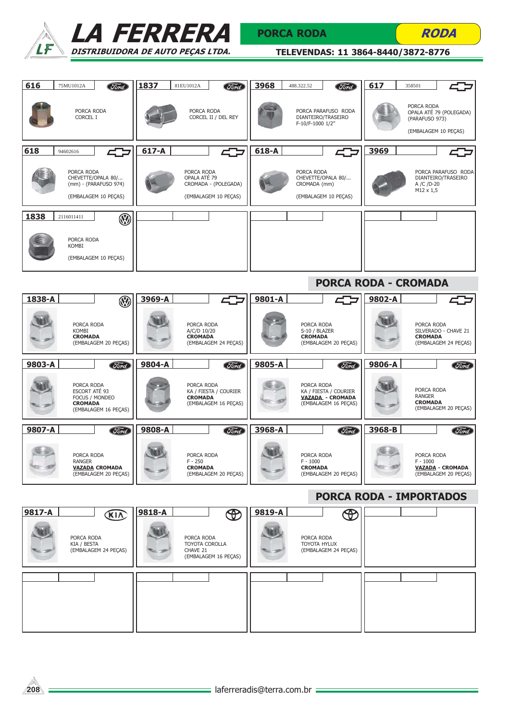



## PORCA RODA



| 616<br>75MU1012A<br>Tord                                                                | 1837<br>81EU1012A<br><b>Ford</b>                                              | 3968<br>488.322.52<br><b>Ford</b>                                               | 617<br>358501                                                                   |
|-----------------------------------------------------------------------------------------|-------------------------------------------------------------------------------|---------------------------------------------------------------------------------|---------------------------------------------------------------------------------|
| PORCA RODA<br>CORCEL I                                                                  | PORCA RODA<br>CORCEL II / DEL REY                                             | PORCA PARAFUSO RODA<br>DIANTEIRO/TRASEIRO<br>F-10/F-1000 1/2"                   | PORCA RODA<br>OPALA ATÉ 79 (POLEGADA)<br>(PARAFUSO 973)<br>(EMBALAGEM 10 PEÇAS) |
| 618<br>452<br>94602616                                                                  | $617-A$                                                                       | 618-A                                                                           | 3969                                                                            |
| PORCA RODA<br>CHEVETTE/OPALA 80/<br>(mm) - (PARAFUSO 974)<br>(EMBALAGEM 10 PEÇAS)       | PORCA RODA<br>OPALA ATÉ 79<br>CROMADA - (POLEGADA)<br>(EMBALAGEM 10 PEÇAS)    | PORCA RODA<br>CHEVETTE/OPALA 80/<br>CROMADA (mm)<br>(EMBALAGEM 10 PECAS)        | PORCA PARAFUSO RODA<br>DIANTEIRO/TRASEIRO<br>A /C /D-20<br>$M12 \times 1,5$     |
| 1838<br>$\circledR$<br>2116011411                                                       |                                                                               |                                                                                 |                                                                                 |
| PORCA RODA<br>KOMBI<br>(EMBALAGEM 10 PEÇAS)                                             |                                                                               |                                                                                 |                                                                                 |
|                                                                                         |                                                                               |                                                                                 | <b>PORCA RODA - CROMADA</b>                                                     |
| 1838-A<br>$\circledR$                                                                   | 3969-A                                                                        | 9801-A                                                                          | 9802-A                                                                          |
| PORCA RODA<br>KOMBI<br><b>CROMADA</b><br>(EMBALAGEM 20 PEÇAS)                           | PORCA RODA<br>A/C/D 10/20<br><b>CROMADA</b><br>(EMBALAGEM 24 PEÇAS)           | PORCA RODA<br>S-10 / BLAZER<br><b>CROMADA</b><br>(EMBALAGEM 20 PEÇAS)           | PORCA RODA<br>SILVERADO - CHAVE 21<br><b>CROMADA</b><br>(EMBALAGEM 24 PECAS)    |
| 9803-A<br><b>Ford</b>                                                                   | 9804-A<br><b>Ford</b>                                                         | 9805-A<br>Ford                                                                  | 9806-A<br><b>Ford</b>                                                           |
| PORCA RODA<br>ESCORT ATÉ 93<br>FOCUS / MONDEO<br><b>CROMADA</b><br>(EMBALAGEM 16 PEÇAS) | PORCA RODA<br>KA / FIESTA / COURIER<br><b>CROMADA</b><br>(EMBALAGEM 16 PEÇAS) | PORCA RODA<br>KA / FIESTA / COURIER<br>VAZADA - CROMADA<br>(EMBALAGEM 16 PEÇAS) | PORCA RODA<br><b>RANGER</b><br><b>CROMADA</b><br>(EMBALAGEM 20 PEÇAS)           |
| 9807-A<br>Ford                                                                          | 9808-A<br><b>Ford</b>                                                         | 3968-A<br>Ford                                                                  | 3968-B<br>Ford                                                                  |
| PORCA RODA<br><b>RANGER</b><br><b>VAZADA CROMADA</b><br>(EMBALAGEM 20 PEÇAS)            | PORCA RODA<br>$F - 250$<br><b>CROMADA</b><br>(EMBALAGEM 20 PEÇAS)             | PORCA RODA<br>$F - 1000$<br><b>CROMADA</b><br>(EMBALAGEM 20 PEÇAS)              | PORCA RODA<br>$F - 1000$<br><b>VAZADA - CROMADA</b><br>(EMBALAGEM 20 PECAS)     |
|                                                                                         |                                                                               |                                                                                 | <b>PORCA RODA - IMPORTADOS</b>                                                  |
| 9817-A<br><b>KIA</b>                                                                    | 9818-A<br>$\bigoplus$                                                         | 9819-A                                                                          |                                                                                 |
| PORCA RODA<br>KIA / BESTA<br>(EMBALAGEM 24 PECAS)                                       | PORCA RODA<br>TOYOTA COROLLA<br>CHAVE 21<br>(EMBALAGEM 16 PEÇAS)              | PORCA RODA<br>TOYOTA HYLUX<br>(EMBALAGEM 24 PEÇAS)                              |                                                                                 |
|                                                                                         |                                                                               |                                                                                 |                                                                                 |
|                                                                                         |                                                                               |                                                                                 |                                                                                 |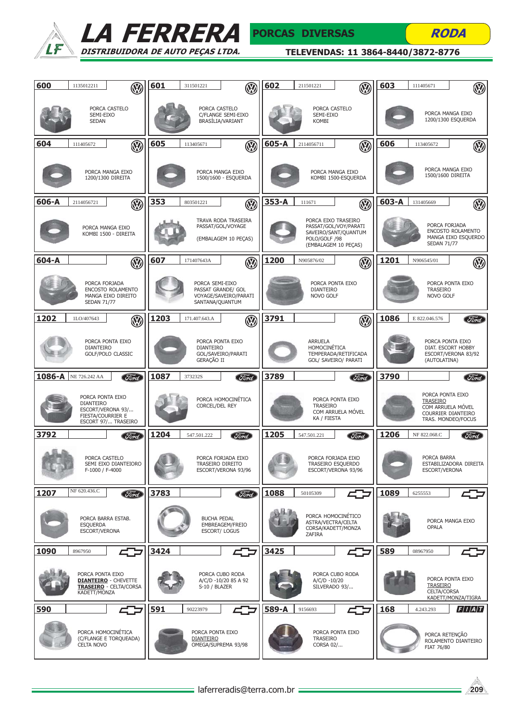



| 600   | 1135012211                                                    | $\circledR$                                                  | 601  | 311501221                            | $\bigcirc$                                                       | 602       | 211501221                            | $\mathbb{Q}$                                                                                 | 603   | 111405671                           | $\circledR$                                                   |
|-------|---------------------------------------------------------------|--------------------------------------------------------------|------|--------------------------------------|------------------------------------------------------------------|-----------|--------------------------------------|----------------------------------------------------------------------------------------------|-------|-------------------------------------|---------------------------------------------------------------|
|       | SEMI-EIXO<br><b>SEDAN</b>                                     | PORCA CASTELO                                                |      | PORCA CASTELO                        | C/FLANGE SEMI-EIXO<br>BRASÍLIA/VARIANT                           |           | SEMI-EIXO<br><b>KOMBI</b>            | PORCA CASTELO                                                                                |       |                                     | PORCA MANGA EIXO<br>1200/1300 ESQUERDA                        |
| 604   | 111405672                                                     | W                                                            | 605  | 113405671                            | $\circledR$                                                      | 605-A     | 2114056711                           | W                                                                                            | 606   | 113405672                           | $\circledR$                                                   |
|       |                                                               | PORCA MANGA EIXO<br>1200/1300 DIREITA                        |      |                                      | PORCA MANGA EIXO<br>1500/1600 - ESQUERDA                         |           |                                      | PORCA MANGA EIXO<br>KOMBI 1500-ESQUERDA                                                      |       |                                     | PORCA MANGA EIXO<br>1500/1600 DIREITA                         |
| 606-A | 2114056721                                                    | $\mathbb{Q}$                                                 | 353  | 803501221                            | $\mathbb{Q}$                                                     | $353 - A$ | 111671                               | $\mathbb{Q}$                                                                                 | 603-A | 131405669                           | $\circledS$                                                   |
|       |                                                               | PORCA MANGA EIXO<br>KOMBI 1500 - DIREITA                     |      |                                      | TRAVA RODA TRASEIRA<br>PASSAT/GOL/VOYAGE<br>(EMBALAGEM 10 PEÇAS) |           | POLO/GOLF /98                        | PORCA EIXO TRASEIRO<br>PASSAT/GOL/VOY/PARATI<br>SAVEIRO/SANT/QUANTUM<br>(EMBALAGEM 10 PEÇAS) |       | <b>SEDAN 71/77</b>                  | PORCA FORJADA<br>ENCOSTO ROLAMENTO<br>MANGA EIXO ESQUERDO     |
| 604-A |                                                               | $\circledR$                                                  | 607  | 171407643A                           | $\circledR$                                                      | 1200      | N905876/02                           | $\circledR$                                                                                  | 1201  | N906545/01                          | $\circledS$                                                   |
|       | PORCA FORJADA<br><b>SEDAN 71/77</b>                           | ENCOSTO ROLAMENTO<br>MANGA EIXO DIREITO                      |      | PORCA SEMI-EIXO<br>SANTANA/QUANTUM   | PASSAT GRANDE/ GOL<br>VOYAGE/SAVEIRO/PARATI                      |           | <b>DIANTEIRO</b><br><b>NOVO GOLF</b> | PORCA PONTA EIXO                                                                             |       | <b>TRASEIRO</b><br><b>NOVO GOLF</b> | PORCA PONTA EIXO                                              |
| 1202  | 1LO/407643                                                    | $\mathbb{Q}$                                                 | 1203 | 171.407.643.A                        | $\circledR$                                                      | 3791      |                                      | $\circledR$                                                                                  | 1086  | E 822.046.576                       | (Tord                                                         |
|       | <b>DIANTEIRO</b>                                              | PORCA PONTA EIXO<br>GOLF/POLO CLASSIC                        |      | <b>DIANTEIRO</b><br>GERAÇÃO II       | PORCA PONTA EIXO<br>GOL/SAVEIRO/PARATI                           |           | <b>ARRUELA</b><br>HOMOCINÉTICA       | TEMPERADA/RETIFICADA<br>GOL/ SAVEIRO/ PARATI                                                 |       | (AUTOLATINA)                        | PORCA PONTA EIXO<br>DIAT. ESCORT HOBBY<br>ESCORT/VERONA 83/92 |
|       | 1086-A NE 726.242 AA                                          | <b>Ford</b>                                                  | 1087 | 373232S                              | <b>Ford</b>                                                      | 3789      |                                      | Ford                                                                                         | 3790  |                                     | Ford)                                                         |
|       | PORCA PONTA EIXO<br><b>DIANTEIRO</b><br>FIESTA/COURRIER E     | ESCORT/VERONA 93/<br>ESCORT 97/ TRASEIRO                     |      | <b>CORCEL/DEL REY</b>                | PORCA HOMOCINÉTICA                                               |           | <b>TRASEIRO</b><br>KA / FIESTA       | PORCA PONTA EIXO<br>COM ARRUELA MÓVEL                                                        |       | PORCA PONTA EIXO<br><b>TRASEIRO</b> | COM ARRUELA MÓVEL<br>COURRIER DIANTEIRO<br>TRAS. MONDEO/FOCUS |
| 3792  |                                                               | <b>Ford</b>                                                  | 1204 | 547.501.222                          | Ford                                                             | 1205      | 547.501.221                          | <b>Ford</b>                                                                                  | 1206  | NF 822.068.C                        | <i>Sord</i>                                                   |
|       | PORCA CASTELO<br>F-1000 / F-4000                              | SEMI EIXO DIANTEIORO                                         |      |                                      | PORCA FORJADA EIXO<br>TRASEIRO DIREITO<br>ESCORT/VERONA 93/96    |           |                                      | PORCA FORJADA EIXO<br>TRASEIRO ESQUERDO<br>ESCORT/VERONA 93/96                               |       | PORCA BARRA<br>ESCORT/VERONA        | ESTABILIZADORA DIREITA                                        |
| 1207  | NF 620.436.C                                                  | <b>Ford</b>                                                  | 3783 |                                      | <b>Ford</b>                                                      | 1088      | 50105309                             | 402                                                                                          | 1089  | 6255553                             |                                                               |
|       | PORCA BARRA ESTAB.<br><b>ESQUERDA</b><br><b>ESCORT/VERONA</b> |                                                              |      | <b>BUCHA PEDAL</b>                   | EMBREAGEM/FREIO<br><b>ESCORT/ LOGUS</b>                          |           | ASTRA/VECTRA/CELTA<br>ZAFIRA         | PORCA HOMOCINÉTICO<br>CORSA/KADETT/MONZA                                                     |       | <b>OPALA</b>                        | PORCA MANGA EIXO                                              |
| 1090  | 8967950                                                       | 45                                                           | 3424 |                                      | 47                                                               | 3425      |                                      |                                                                                              | 589   | 08967950                            |                                                               |
|       | PORCA PONTA EIXO<br>KADETT/MONZA                              | <b>DIANTEIRO - CHEVETTE</b><br><b>TRASEIRO - CELTA/CORSA</b> |      | S-10 / BLAZER                        | PORCA CUBO RODA<br>A/C/D -10/20 85 A 92                          |           | A/C/D -10/20                         | PORCA CUBO RODA<br>SILVERADO 93/                                                             |       | <b>TRASEIRO</b><br>CELTA/CORSA      | PORCA PONTA EIXO<br>KADETT/MONZA/TIGRA                        |
| 590   |                                                               | 407                                                          | 591  | 90223979                             |                                                                  | 589-A     | 9156693                              |                                                                                              | 168   | 4.243.293                           | F/I/A/T                                                       |
|       | PORCA HOMOCINÉTICA<br><b>CELTA NOVO</b>                       | (C/FLANGE E TORQUEADA)                                       |      | PORCA PONTA EIXO<br><b>DIANTEIRO</b> | OMEGA/SUPREMA 93/98                                              |           | <b>TRASEIRO</b><br>CORSA 02/         | PORCA PONTA EIXO                                                                             |       | PORCA RETENÇÃO<br>FIAT 76/80        | ROLAMENTO DIANTEIRO                                           |

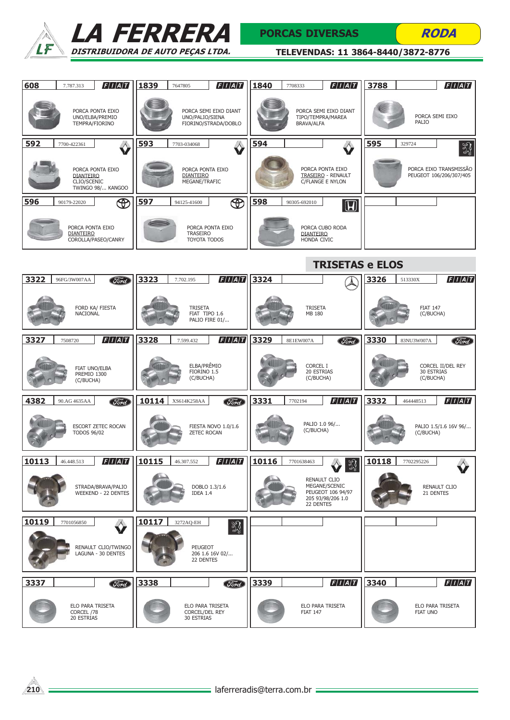



### PORCAS DIVERSAS

**RODA** 

| 608   | 7.787.313                       | $\left F\right I\left A\right T$                      | 1839  | 7647805                                          | F/I/A/T                                       | 1840 | 7708333                                | F/I/A/T                                                                        | 3788            |                              | F/I/A/T                                           |
|-------|---------------------------------|-------------------------------------------------------|-------|--------------------------------------------------|-----------------------------------------------|------|----------------------------------------|--------------------------------------------------------------------------------|-----------------|------------------------------|---------------------------------------------------|
|       |                                 | PORCA PONTA EIXO<br>UNO/ELBA/PREMIO<br>TEMPRA/FIORINO |       | UNO/PALIO/SIENA                                  | PORCA SEMI EIXO DIANT<br>FIORINO/STRADA/DOBLO |      | TIPO/TEMPRA/MAREA<br><b>BRAVA/ALFA</b> | PORCA SEMI EIXO DIANT                                                          |                 | PORCA SEMI EIXO<br>PALIO     |                                                   |
| 592   | 7700-422361                     |                                                       | 593   | 7703-034068                                      |                                               | 594  |                                        |                                                                                | 595             | 329724                       | Y                                                 |
|       | <b>DIANTEIRO</b><br>CLIO/SCENIC | PORCA PONTA EIXO<br>TWINGO 98/ KANGOO                 |       | PORCA PONTA EIXO<br>DIANTEIRO<br>MEGANE/TRAFIC   |                                               |      |                                        | PORCA PONTA EIXO<br><b>TRASEIRO - RENAULT</b><br>C/FLANGE E NYLON              |                 |                              | PORCA EIXO TRANSMISSÃO<br>PEUGEOT 106/206/307/405 |
| 596   | 90179-22020                     | $\bigoplus$                                           | 597   | 94125-41600                                      | $\bigoplus$                                   | 598  | 90305-692010                           | $\blacksquare$                                                                 |                 |                              |                                                   |
|       | <b>DIANTEIRO</b>                | PORCA PONTA EIXO<br>COROLLA/PASEO/CANRY               |       | <b>TRASEIRO</b><br>TOYOTA TODOS                  | PORCA PONTA EIXO                              |      | <b>DIANTEIRO</b><br>HONDA CIVIC        | PORCA CUBO RODA                                                                |                 |                              |                                                   |
|       |                                 |                                                       |       |                                                  |                                               |      |                                        | <b>TRISETAS e ELOS</b>                                                         |                 |                              |                                                   |
| 3322  | 96FG/3W007AA                    | Ford                                                  | 3323  | 7.702.195                                        | F/I/A/T                                       | 3324 |                                        |                                                                                | 3326            | 513330X                      | F/I/A/T                                           |
|       | NACIONAL                        | FORD KA/ FIESTA                                       |       | <b>TRISETA</b><br>FIAT TIPO 1.6                  | PALIO FIRE 01/                                |      | <b>TRISETA</b><br>MB 180               |                                                                                |                 | <b>FIAT 147</b><br>(C/BUCHA) |                                                   |
| 3327  | 7508720                         | F/I/A/T                                               | 3328  | 7.599.432                                        | F/I/A/T                                       | 3329 | 8E1EW007A                              | Ford                                                                           | 3330            | 83NU3W007A                   | <b>Tord</b>                                       |
|       | (C/BUCHA)                       | FIAT UNO/ELBA<br>PREMIO 1300                          |       | ELBA/PRÊMIO<br>FIORINO 1.5<br>(C/BUCHA)          |                                               |      | CORCEL I<br>20 ESTRIAS<br>(C/BUCHA)    |                                                                                |                 | 30 ESTRIAS<br>(C/BUCHA)      | CORCEL II/DEL REY                                 |
| 4382  | 90.AG 4635AA                    | <b>Ford</b>                                           | 10114 | XS614K258AA                                      | <b>Ford</b>                                   | 3331 | 7702194                                | F/I/A/T                                                                        | 3332            | 464448513                    | F/I/A/T                                           |
|       | <b>TODOS 96/02</b>              | ESCORT ZETEC ROCAN                                    |       | <b>ZETEC ROCAN</b>                               | FIESTA NOVO 1.0/1.6                           |      | PALIO 1.0 96/<br>(C/BUCHA)             |                                                                                |                 | (C/BUCHA)                    | PALIO 1.5/1.6 16V 96/                             |
| 10113 | 46.448.513                      | $E/I/A/T$ 10115                                       |       | 46.307.552                                       |                                               |      | $FIIAII$ 10116 7701638463              | OSB<br>m.<br>21                                                                | $\boxed{10118}$ | 7702295226                   |                                                   |
|       |                                 | STRADA/BRAVA/PALIO<br><b>WEEKEND - 22 DENTES</b>      |       | IDEA 1.4                                         | DOBLO 1.3/1.6                                 |      | 22 DENTES                              | <b>RENAULT CLIO</b><br>MEGANE/SCENIC<br>PEUGEOT 106 94/97<br>205 93/98/206 1.0 |                 | 21 DENTES                    | RENAULT CLIO                                      |
| 10119 | 7701056850                      |                                                       | 10117 | 3272AQ-EH                                        | 潈                                             |      |                                        |                                                                                |                 |                              |                                                   |
|       |                                 | RENAULT CLIO/TWINGO<br>LAGUNA - 30 DENTES             |       | PEUGEOT<br>22 DENTES                             | 206 1.6 16V 02/                               |      |                                        |                                                                                |                 |                              |                                                   |
| 3337  |                                 | Ford                                                  | 3338  |                                                  | Ford                                          | 3339 |                                        | F/I/A/T                                                                        | 3340            |                              | F/I/A/T                                           |
|       | CORCEL /78<br>20 ESTRIAS        | ELO PARA TRISETA                                      |       | ELO PARA TRISETA<br>CORCEL/DEL REY<br>30 ESTRIAS |                                               |      | <b>FIAT 147</b>                        | ELO PARA TRISETA                                                               |                 | FIAT UNO                     | ELO PARA TRISETA                                  |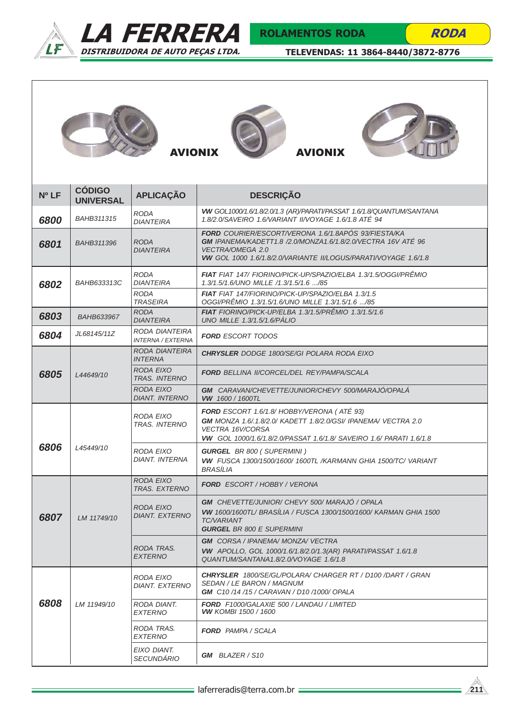



RODA







| Nº <sub>LF</sub> | <b>CÓDIGO</b><br><b>UNIVERSAL</b> | <b>APLICAÇÃO</b>                                  | <b>DESCRIÇÃO</b>                                                                                                                                                                                                                |  |  |  |  |  |
|------------------|-----------------------------------|---------------------------------------------------|---------------------------------------------------------------------------------------------------------------------------------------------------------------------------------------------------------------------------------|--|--|--|--|--|
| 6800             | <b>BAHB311315</b>                 | <b>RODA</b><br><b>DIANTEIRA</b>                   | VW GOL1000/1.6/1.8/2.0/1.3 (AR)/PARATI/PASSAT 1.6/1.8/QUANTUM/SANTANA<br>1.8/2.0/SAVEIRO 1.6/VARIANT II/VOYAGE 1.6/1.8 ATÉ 94                                                                                                   |  |  |  |  |  |
| 6801             | <b>BAHB311396</b>                 | <b>RODA</b><br><b>DIANTEIRA</b>                   | <b>FORD</b> COURIER/ESCORT/VERONA 1.6/1.8APÓS 93/FIESTA/KA<br>GM IPANEMA/KADETT1.8 /2.0/MONZA1.6/1.8/2.0/VECTRA 16V ATÉ 96<br><b>VECTRA/OMEGA 2.0</b><br><b>VW</b> GOL 1000 1.6/1.8/2.0/VARIANTE II/LOGUS/PARATI/VOYAGE 1.6/1.8 |  |  |  |  |  |
| 6802             | BAHB633313C                       | <b>RODA</b><br><b>DIANTEIRA</b>                   | <b>FIAT</b> FIAT 147/ FIORINO/PICK-UP/SPAZIO/ELBA 1.3/1.5/OGGI/PREMIO<br>1.3/1.5/1.6/UNO MILLE /1.3/1.5/1.6 /85                                                                                                                 |  |  |  |  |  |
|                  |                                   | <b>RODA</b><br><b>TRASEIRA</b>                    | FIAT FIAT 147/FIORINO/PICK-UP/SPAZIO/ELBA 1.3/1.5<br>OGGI/PRÊMIO 1.3/1.5/1.6/UNO MILLE 1.3/1.5/1.6 /85                                                                                                                          |  |  |  |  |  |
| 6803             | BAHB633967                        | <b>RODA</b><br><b>DIANTEIRA</b>                   | <b>FIAT</b> FIORINO/PICK-UP/ELBA 1.3/1.5/PRÊMIO 1.3/1.5/1.6<br><b>UNO MILLE 1.3/1.5/1.6/PÁLIO</b>                                                                                                                               |  |  |  |  |  |
| 6804             | JL68145/11Z                       | <b>RODA DIANTEIRA</b><br><b>INTERNA / EXTERNA</b> | <b>FORD ESCORT TODOS</b>                                                                                                                                                                                                        |  |  |  |  |  |
|                  |                                   | RODA DIANTEIRA<br><b>INTERNA</b>                  | <b>CHRYSLER</b> DODGE 1800/SE/GI POLARA RODA EIXO                                                                                                                                                                               |  |  |  |  |  |
| 6805             | L44649/10                         | RODA EIXO<br><b>TRAS. INTERNO</b>                 | <b>FORD BELLINA II/CORCEL/DEL REY/PAMPA/SCALA</b>                                                                                                                                                                               |  |  |  |  |  |
|                  |                                   | <b>RODA EIXO</b><br><b>DIANT. INTERNO</b>         | GM CARAVAN/CHEVETTE/JUNIOR/CHEVY 500/MARAJÓ/OPALÁ<br><b>VW</b> 1600 / 1600TL                                                                                                                                                    |  |  |  |  |  |
|                  |                                   | <b>RODA EIXO</b><br><b>TRAS. INTERNO</b>          | <b>FORD</b> ESCORT 1.6/1.8/ HOBBY/VERONA (ATÉ 93)<br>GM MONZA 1.6/.1.8/2.0/ KADETT 1.8/2.0/GSI/ IPANEMA/ VECTRA 2.0<br>VECTRA 16V/CORSA<br>VW GOL 1000/1.6/1.8/2.0/PASSAT 1.6/1.8/ SAVEIRO 1.6/ PARATI 1.6/1.8                  |  |  |  |  |  |
| 6806             | L45449/10                         | <b>RODA EIXO</b><br><b>DIANT. INTERNA</b>         | <b>GURGEL BR 800 (SUPERMINI)</b><br>VW FUSCA 1300/1500/1600/1600TL /KARMANN GHIA 1500/TC/VARIANT<br><b>BRASILIA</b>                                                                                                             |  |  |  |  |  |
|                  |                                   | <b>RODA EIXO</b><br><b>TRAS. EXTERNO</b>          | <b>FORD</b> ESCORT / HOBBY / VERONA                                                                                                                                                                                             |  |  |  |  |  |
| 6807             | I M 11749/10                      | <b>RODA EIXO</b><br><b>DIANT. EXTERNO</b>         | <b>GM</b> CHEVETTE/JUNIOR/ CHEVY 500/ MARAJÓ / OPALA<br><b>VW</b> 1600/1600TL/ BRASÍLIA / FUSCA 1300/1500/1600/ KARMAN GHIA 1500<br><b>TC/VARIANT</b><br><b>GURGEL BR 800 E SUPERMINI</b>                                       |  |  |  |  |  |
|                  |                                   | RODA TRAS.<br><b>EXTERNO</b>                      | <b>GM</b> CORSA / IPANEMA/ MONZA/ VECTRA<br>VW APOLLO, GOL 1000/1.6/1.8/2.0/1.3(AR) PARATI/PASSAT 1.6/1.8<br>QUANTUM/SANTANA1.8/2.0/VOYAGE 1.6/1.8                                                                              |  |  |  |  |  |
|                  |                                   | RODA EIXO<br>DIANT. EXTERNO                       | <b>CHRYSLER</b> 1800/SE/GL/POLARA/ CHARGER RT / D100 /DART / GRAN<br><i>SEDAN / LE BARON / MAGNUM</i><br><b>GM</b> C10/14/15/CARAVAN/D10/1000/OPALA                                                                             |  |  |  |  |  |
| 6808             | LM 11949/10                       | RODA DIANT.<br><b>EXTERNO</b>                     | <b>FORD</b> F1000/GALAXIE 500 / LANDAU / LIMITED<br><b>VW</b> KOMBI 1500 / 1600                                                                                                                                                 |  |  |  |  |  |
|                  |                                   | RODA TRAS.<br><b>EXTERNO</b>                      | <b>FORD</b> PAMPA / SCALA                                                                                                                                                                                                       |  |  |  |  |  |
|                  |                                   | EIXO DIANT.<br><b>SECUNDÁRIO</b>                  | <b>GM</b> BLAZER / S10                                                                                                                                                                                                          |  |  |  |  |  |

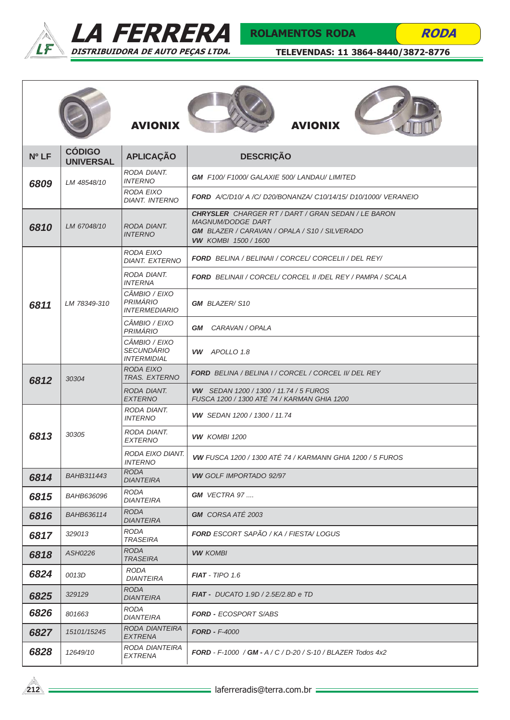



# ROLAMENTOS RODA

**RODA** 

|                  |                                   | <b>AVIONIX</b>                                           | <b>AVIONIX</b>                                                                                                                                                               |
|------------------|-----------------------------------|----------------------------------------------------------|------------------------------------------------------------------------------------------------------------------------------------------------------------------------------|
| Nº <sub>LF</sub> | <b>CÓDIGO</b><br><b>UNIVERSAL</b> | <b>APLICAÇÃO</b>                                         | <b>DESCRIÇÃO</b>                                                                                                                                                             |
| 6809             | LM 48548/10                       | RODA DIANT.<br><b>INTERNO</b>                            | <b>GM</b> F100/F1000/GALAXIE 500/LANDAU/LIMITED                                                                                                                              |
|                  |                                   | RODA EIXO<br><b>DIANT. INTERNO</b>                       | <b>FORD</b> A/C/D10/ A /C/ D20/BONANZA/ C10/14/15/ D10/1000/ VERANEIO                                                                                                        |
| 6810             | LM 67048/10                       | RODA DIANT.<br><b>INTERNO</b>                            | <b>CHRYSLER</b> CHARGER RT / DART / GRAN SEDAN / LE BARON<br><b>MAGNUM/DODGE DART</b><br><b>GM</b> BLAZER / CARAVAN / OPALA / S10 / SILVERADO<br><b>VW KOMBI 1500 / 1600</b> |
|                  | LM 78349-310                      | <b>RODA EIXO</b><br><b>DIANT. EXTERNO</b>                | <b>FORD</b> BELINA / BELINAII / CORCEL/ CORCELII / DEL REY/                                                                                                                  |
| 6811             |                                   | RODA DIANT.<br><b>INTERNA</b>                            | <b>FORD</b> BELINAII / CORCEL/ CORCEL II / DEL REY / PAMPA / SCALA                                                                                                           |
|                  |                                   | CÂMBIO / EIXO<br><b>PRIMÁRIO</b><br><b>INTERMEDIARIO</b> | <b>GM</b> BLAZER/S10                                                                                                                                                         |
|                  |                                   | CÂMBIO / EIXO<br><b>PRIMÁRIO</b>                         | CARAVAN / OPALA<br>GM                                                                                                                                                        |
|                  |                                   | CÂMBIO / EIXO<br><b>SECUNDÁRIO</b><br><b>INTERMIDIAL</b> | VW APOLLO 1.8                                                                                                                                                                |
| 6812             | 30304                             | <b>RODA EIXO</b><br><b>TRAS. EXTERNO</b>                 | <b>FORD</b> BELINA / BELINA I / CORCEL / CORCEL II/ DEL REY                                                                                                                  |
|                  |                                   | RODA DIANT.<br><b>EXTERNO</b>                            | <b>VW</b> SEDAN 1200 / 1300 / 11.74 / 5 FUROS<br>FUSCA 1200 / 1300 ATÉ 74 / KARMAN GHIA 1200                                                                                 |
|                  | 30305                             | RODA DIANT.<br><b>INTERNO</b>                            | <b>VW</b> SEDAN 1200 / 1300 / 11.74                                                                                                                                          |
| 6813             |                                   | RODA DIANT.<br><b>EXTERNO</b>                            | <b>VW KOMBI 1200</b>                                                                                                                                                         |
|                  |                                   | RODA EIXO DIANT.<br><b>INTERNO</b>                       | <b>VW FUSCA 1200 / 1300 ATÉ 74 / KARMANN GHIA 1200 / 5 FUROS</b>                                                                                                             |
| 6814             | <b>BAHB311443</b>                 | <b>RODA</b><br><i>DIANTEIRA</i>                          | <b>VW GOLF IMPORTADO 92/97</b>                                                                                                                                               |
| 6815             | BAHB636096                        | <b>RODA</b><br><b>DIANTEIRA</b>                          | <b>GM</b> VECTRA 97                                                                                                                                                          |
| 6816             | BAHB636114                        | <b>RODA</b><br><b>DIANTEIRA</b>                          | <b>GM</b> CORSA ATÉ 2003                                                                                                                                                     |
| 6817             | 329013                            | <b>RODA</b><br><b>TRASEIRA</b>                           | <b>FORD</b> ESCORT SAPÃO / KA / FIESTA/ LOGUS                                                                                                                                |
| 6818             | ASH0226                           | <b>RODA</b><br><b>TRASEIRA</b>                           | <b>VW KOMBI</b>                                                                                                                                                              |
| 6824             | 0013D                             | <b>RODA</b><br><b>DIANTEIRA</b>                          | $FIAT - TIPO 1.6$                                                                                                                                                            |
| 6825             | 329129                            | <b>RODA</b><br><b>DIANTEIRA</b>                          | <b>FIAT -</b> DUCATO 1.9D / 2.5E/2.8D e TD                                                                                                                                   |
| 6826             | 801663                            | <b>RODA</b><br><b>DIANTEIRA</b>                          | <b>FORD - ECOSPORT S/ABS</b>                                                                                                                                                 |
| 6827             | 15101/15245                       | <b>RODA DIANTEIRA</b><br><b>EXTRENA</b>                  | $FORD - F-4000$                                                                                                                                                              |
| 6828             | 12649/10                          | RODA DIANTEIRA<br><b>EXTRENA</b>                         | <b>FORD</b> - F-1000 / <b>GM</b> - A / C / D-20 / S-10 / BLAZER Todos 4x2                                                                                                    |